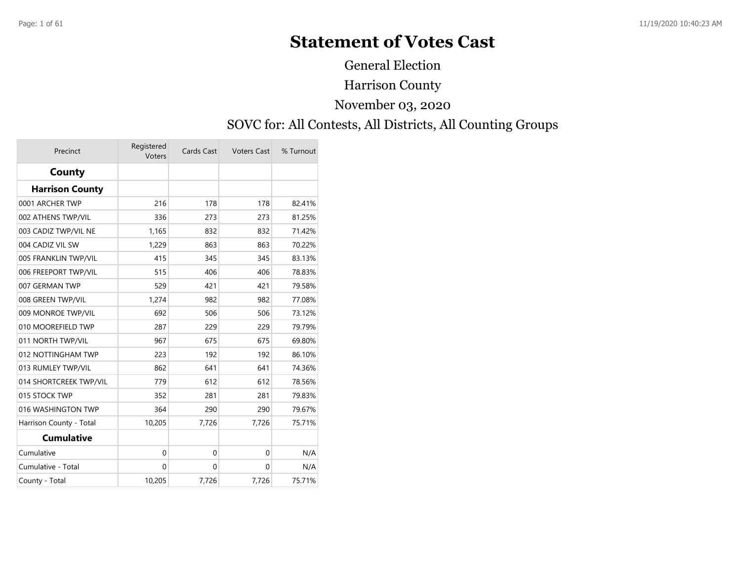# **Statement of Votes Cast**

General Election

Harrison County

November 03, 2020

#### SOVC for: All Contests, All Districts, All Counting Groups

| Precinct                | Registered<br>Voters | Cards Cast   | <b>Voters Cast</b> | % Turnout |
|-------------------------|----------------------|--------------|--------------------|-----------|
| County                  |                      |              |                    |           |
| <b>Harrison County</b>  |                      |              |                    |           |
| 0001 ARCHER TWP         | 216                  | 178          | 178                | 82.41%    |
| 002 ATHENS TWP/VIL      | 336                  | 273          | 273                | 81.25%    |
| 003 CADIZ TWP/VIL NE    | 1,165                | 832          | 832                | 71.42%    |
| 004 CADIZ VIL SW        | 1,229                | 863          | 863                | 70.22%    |
| 005 FRANKLIN TWP/VIL    | 415                  | 345          | 345                | 83.13%    |
| 006 FREEPORT TWP/VIL    | 515                  | 406          | 406                | 78.83%    |
| 007 GERMAN TWP          | 529                  | 421          | 421                | 79.58%    |
| 008 GREEN TWP/VIL       | 1,274                | 982          | 982                | 77.08%    |
| 009 MONROE TWP/VIL      | 692                  | 506          | 506                | 73.12%    |
| 010 MOOREFIELD TWP      | 287                  | 229          | 229                | 79.79%    |
| 011 NORTH TWP/VIL       | 967                  | 675          | 675                | 69.80%    |
| 012 NOTTINGHAM TWP      | 223                  | 192          | 192                | 86.10%    |
| 013 RUMLEY TWP/VIL      | 862                  | 641          | 641                | 74.36%    |
| 014 SHORTCREEK TWP/VIL  | 779                  | 612          | 612                | 78.56%    |
| 015 STOCK TWP           | 352                  | 281          | 281                | 79.83%    |
| 016 WASHINGTON TWP      | 364                  | 290          | 290                | 79.67%    |
| Harrison County - Total | 10,205               | 7,726        | 7,726              | 75.71%    |
| <b>Cumulative</b>       |                      |              |                    |           |
| Cumulative              | $\mathbf{0}$         | $\mathbf{0}$ | $\Omega$           | N/A       |
| Cumulative - Total      | 0                    | $\mathbf{0}$ | 0                  | N/A       |
| County - Total          | 10,205               | 7,726        | 7,726              | 75.71%    |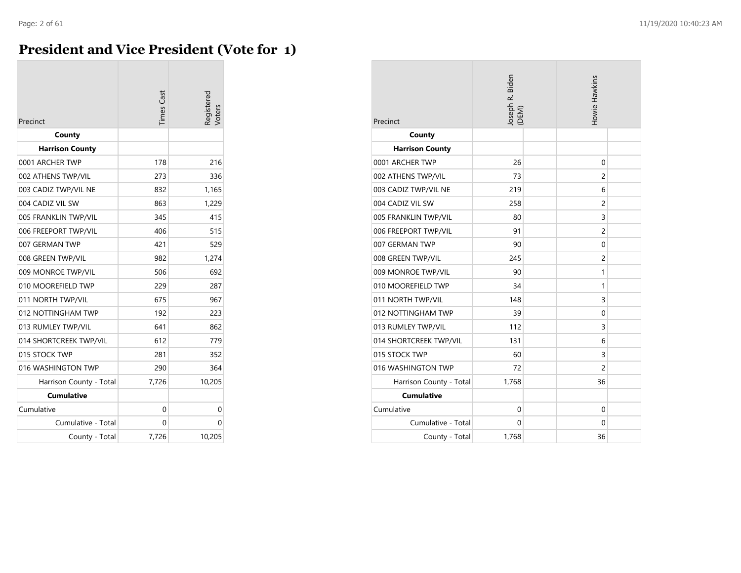### **President and Vice President (Vote for 1)**

| Precinct                | <b>Times</b> Cast | Registered<br>/oters |
|-------------------------|-------------------|----------------------|
| County                  |                   |                      |
| <b>Harrison County</b>  |                   |                      |
| 0001 ARCHER TWP         | 178               | 216                  |
| 002 ATHENS TWP/VIL      | 273               | 336                  |
| 003 CADIZ TWP/VIL NE    | 832               | 1,165                |
| 004 CADIZ VIL SW        | 863               | 1,229                |
| 005 FRANKLIN TWP/VIL    | 345               | 415                  |
| 006 FREEPORT TWP/VIL    | 406               | 515                  |
| 007 GERMAN TWP          | 421               | 529                  |
| 008 GREEN TWP/VIL       | 982               | 1,274                |
| 009 MONROE TWP/VIL      | 506               | 692                  |
| 010 MOOREFIELD TWP      | 229               | 287                  |
| 011 NORTH TWP/VIL       | 675               | 967                  |
| 012 NOTTINGHAM TWP      | 192               | 223                  |
| 013 RUMLEY TWP/VIL      | 641               | 862                  |
| 014 SHORTCREEK TWP/VIL  | 612               | 779                  |
| 015 STOCK TWP           | 281               | 352                  |
| 016 WASHINGTON TWP      | 290               | 364                  |
| Harrison County - Total | 7,726             | 10,205               |
| <b>Cumulative</b>       |                   |                      |
| Cumulative              | 0                 | 0                    |
| Cumulative - Total      | 0                 | 0                    |
| County - Total          | 7,726             | 10,205               |

| Precinct                | Joseph R. Biden<br>(DEM) | Howie Hawkins  |  |
|-------------------------|--------------------------|----------------|--|
| County                  |                          |                |  |
| <b>Harrison County</b>  |                          |                |  |
| 0001 ARCHER TWP         | 26                       | 0              |  |
| 002 ATHENS TWP/VIL      | 73                       | $\overline{c}$ |  |
| 003 CADIZ TWP/VIL NE    | 219                      | 6              |  |
| 004 CADIZ VIL SW        | 258                      | $\overline{c}$ |  |
| 005 FRANKLIN TWP/VIL    | 80                       | 3              |  |
| 006 FREEPORT TWP/VIL    | 91                       | $\overline{2}$ |  |
| 007 GERMAN TWP          | 90                       | 0              |  |
| 008 GREEN TWP/VIL       | 245                      | $\overline{c}$ |  |
| 009 MONROE TWP/VIL      | 90                       | 1              |  |
| 010 MOOREFIELD TWP      | 34                       | 1              |  |
| 011 NORTH TWP/VIL       | 148                      | 3              |  |
| 012 NOTTINGHAM TWP      | 39                       | $\Omega$       |  |
| 013 RUMLEY TWP/VIL      | 112                      | 3              |  |
| 014 SHORTCREEK TWP/VIL  | 131                      | 6              |  |
| 015 STOCK TWP           | 60                       | 3              |  |
| 016 WASHINGTON TWP      | 72                       | $\overline{c}$ |  |
| Harrison County - Total | 1,768                    | 36             |  |
| <b>Cumulative</b>       |                          |                |  |
| Cumulative              | $\mathbf 0$              | 0              |  |
| Cumulative - Total      | 0                        | 0              |  |
| County - Total          | 1,768                    | 36             |  |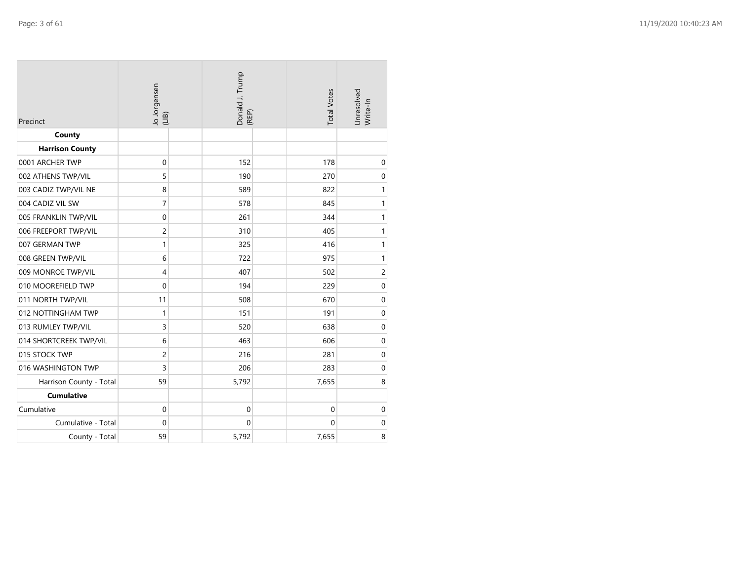| Precinct                | Jo Jorgensen<br>(LIB) | Donald J. Trump<br>(REP) | <b>Total Votes</b> | Unresolved<br>Write-In |
|-------------------------|-----------------------|--------------------------|--------------------|------------------------|
| County                  |                       |                          |                    |                        |
| <b>Harrison County</b>  |                       |                          |                    |                        |
| 0001 ARCHER TWP         | $\mathbf 0$           | 152                      | 178                | $\mathbf 0$            |
| 002 ATHENS TWP/VIL      | 5                     | 190                      | 270                | $\mbox{O}$             |
| 003 CADIZ TWP/VIL NE    | 8                     | 589                      | 822                | 1                      |
| 004 CADIZ VIL SW        | 7                     | 578                      | 845                | $\mathbf{1}$           |
| 005 FRANKLIN TWP/VIL    | $\mathbf 0$           | 261                      | 344                | $\mathbf{1}$           |
| 006 FREEPORT TWP/VIL    | $\overline{c}$        | 310                      | 405                | $\mathbf{1}$           |
| 007 GERMAN TWP          | $\mathbf{1}$          | 325                      | 416                | $\mathbf{1}$           |
| 008 GREEN TWP/VIL       | 6                     | 722                      | 975                | $\mathbf{1}$           |
| 009 MONROE TWP/VIL      | $\overline{4}$        | 407                      | 502                | $\overline{c}$         |
| 010 MOOREFIELD TWP      | $\mathbf 0$           | 194                      | 229                | $\boldsymbol{0}$       |
| 011 NORTH TWP/VIL       | 11                    | 508                      | 670                | $\pmb{0}$              |
| 012 NOTTINGHAM TWP      | $\mathbf{1}$          | 151                      | 191                | $\boldsymbol{0}$       |
| 013 RUMLEY TWP/VIL      | 3                     | 520                      | 638                | $\pmb{0}$              |
| 014 SHORTCREEK TWP/VIL  | 6                     | 463                      | 606                | $\pmb{0}$              |
| 015 STOCK TWP           | $\overline{c}$        | 216                      | 281                | $\boldsymbol{0}$       |
| 016 WASHINGTON TWP      | 3                     | 206                      | 283                | $\pmb{0}$              |
| Harrison County - Total | 59                    | 5,792                    | 7,655              | 8                      |
| <b>Cumulative</b>       |                       |                          |                    |                        |
| Cumulative              | $\mathbf 0$           | $\boldsymbol{0}$         | $\boldsymbol{0}$   | $\boldsymbol{0}$       |
| Cumulative - Total      | $\mathbf 0$           | $\mathbf 0$              | 0                  | $\boldsymbol{0}$       |
| County - Total          | 59                    | 5,792                    | 7,655              | 8                      |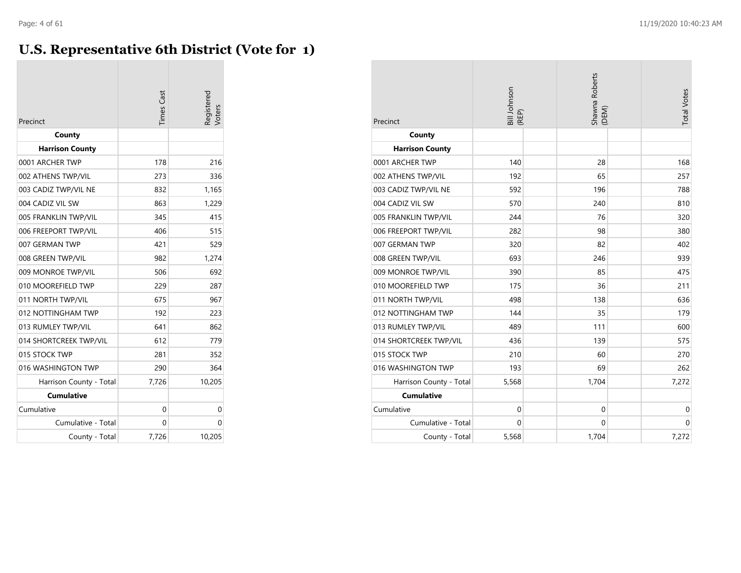### **U.S. Representative 6th District (Vote for 1)**

| Precinct                | <b>Times</b> Cast | <b>Registered</b><br>/oters |
|-------------------------|-------------------|-----------------------------|
| County                  |                   |                             |
| <b>Harrison County</b>  |                   |                             |
| 0001 ARCHER TWP         | 178               | 216                         |
| 002 ATHENS TWP/VIL      | 273               | 336                         |
| 003 CADIZ TWP/VIL NE    | 832               | 1,165                       |
| 004 CADIZ VIL SW        | 863               | 1,229                       |
| 005 FRANKLIN TWP/VIL    | 345               | 415                         |
| 006 FREEPORT TWP/VIL    | 406               | 515                         |
| 007 GERMAN TWP          | 421               | 529                         |
| 008 GREEN TWP/VIL       | 982               | 1,274                       |
| 009 MONROE TWP/VIL      | 506               | 692                         |
| 010 MOOREFIELD TWP      | 229               | 287                         |
| 011 NORTH TWP/VIL       | 675               | 967                         |
| 012 NOTTINGHAM TWP      | 192               | 223                         |
| 013 RUMLEY TWP/VIL      | 641               | 862                         |
| 014 SHORTCREEK TWP/VIL  | 612               | 779                         |
| 015 STOCK TWP           | 281               | 352                         |
| 016 WASHINGTON TWP      | 290               | 364                         |
| Harrison County - Total | 7,726             | 10,205                      |
| <b>Cumulative</b>       |                   |                             |
| Cumulative              | 0                 | 0                           |
| Cumulative - Total      | 0                 | 0                           |
| County - Total          | 7,726             | 10,205                      |

| Precinct                | Bill Johnson<br>(REP) | Shawna Roberts<br>(DEM) | <b>Total Votes</b> |
|-------------------------|-----------------------|-------------------------|--------------------|
| County                  |                       |                         |                    |
| <b>Harrison County</b>  |                       |                         |                    |
| 0001 ARCHER TWP         | 140                   | 28                      | 168                |
| 002 ATHENS TWP/VIL      | 192                   | 65                      | 257                |
| 003 CADIZ TWP/VIL NE    | 592                   | 196                     | 788                |
| 004 CADIZ VIL SW        | 570                   | 240                     | 810                |
| 005 FRANKLIN TWP/VIL    | 244                   | 76                      | 320                |
| 006 FREEPORT TWP/VIL    | 282                   | 98                      | 380                |
| 007 GERMAN TWP          | 320                   | 82                      | 402                |
| 008 GREEN TWP/VIL       | 693                   | 246                     | 939                |
| 009 MONROE TWP/VIL      | 390                   | 85                      | 475                |
| 010 MOOREFIELD TWP      | 175                   | 36                      | 211                |
| 011 NORTH TWP/VIL       | 498                   | 138                     | 636                |
| 012 NOTTINGHAM TWP      | 144                   | 35                      | 179                |
| 013 RUMLEY TWP/VIL      | 489                   | 111                     | 600                |
| 014 SHORTCREEK TWP/VIL  | 436                   | 139                     | 575                |
| 015 STOCK TWP           | 210                   | 60                      | 270                |
| 016 WASHINGTON TWP      | 193                   | 69                      | 262                |
| Harrison County - Total | 5,568                 | 1,704                   | 7,272              |
| <b>Cumulative</b>       |                       |                         |                    |
| Cumulative              | 0                     | $\mathbf 0$             | $\mathbf 0$        |
| Cumulative - Total      | 0                     | $\mathbf 0$             | $\mathbf 0$        |
| County - Total          | 5,568                 | 1,704                   | 7,272              |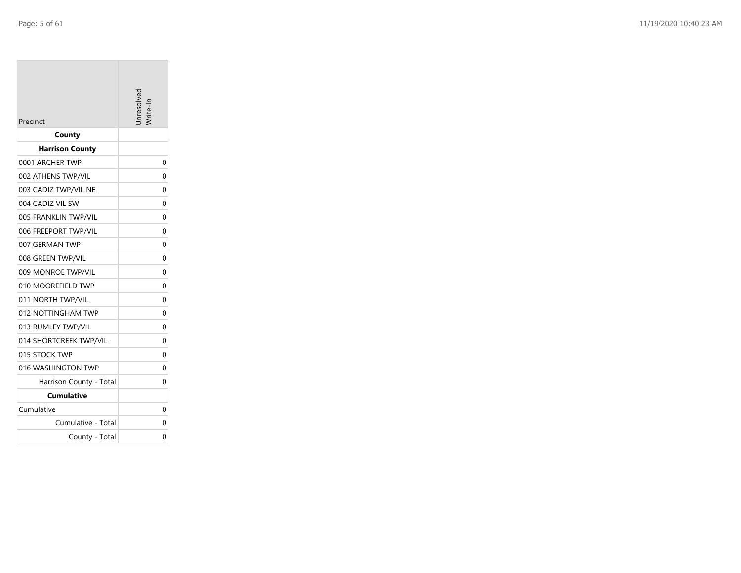| Precinct                | nresolver |
|-------------------------|-----------|
| County                  |           |
| <b>Harrison County</b>  |           |
| 0001 ARCHER TWP         | 0         |
| 002 ATHENS TWP/VIL      | 0         |
| 003 CADIZ TWP/VIL NE    | 0         |
| 004 CADIZ VIL SW        | 0         |
| 005 FRANKLIN TWP/VIL    | 0         |
| 006 FREEPORT TWP/VIL    | 0         |
| 007 GERMAN TWP          | 0         |
| 008 GREEN TWP/VIL       | 0         |
| 009 MONROE TWP/VIL      | 0         |
| 010 MOOREFIELD TWP      | 0         |
| 011 NORTH TWP/VIL       | 0         |
| 012 NOTTINGHAM TWP      | 0         |
| 013 RUMLEY TWP/VIL      | 0         |
| 014 SHORTCREEK TWP/VIL  | 0         |
| 015 STOCK TWP           | 0         |
| 016 WASHINGTON TWP      | 0         |
| Harrison County - Total | 0         |
| <b>Cumulative</b>       |           |
| Cumulative              | 0         |
| Cumulative - Total      | 0         |
| County - Total          | 0         |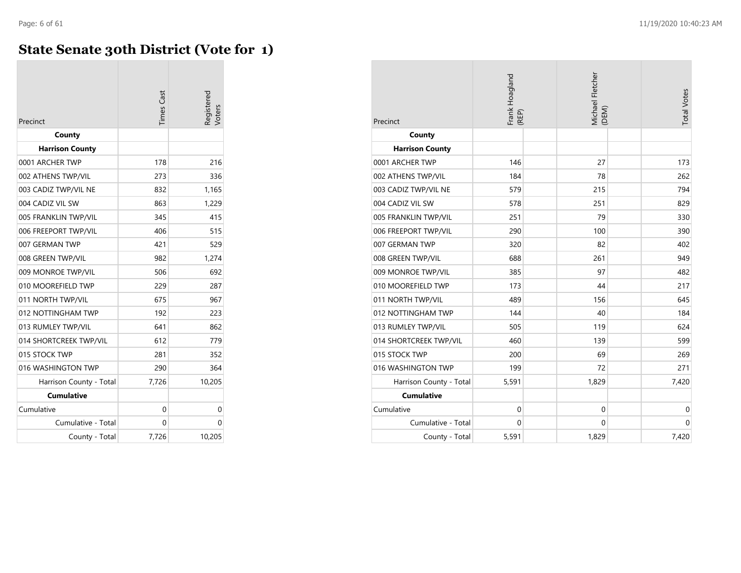### **State Senate 30th District (Vote for 1)**

| Precinct                | <b>Times</b> Cast | Registered |
|-------------------------|-------------------|------------|
| County                  |                   |            |
| <b>Harrison County</b>  |                   |            |
| 0001 ARCHER TWP         | 178               | 216        |
| 002 ATHENS TWP/VIL      | 273               | 336        |
| 003 CADIZ TWP/VIL NE    | 832               | 1,165      |
| 004 CADIZ VIL SW        | 863               | 1,229      |
| 005 FRANKLIN TWP/VIL    | 345               | 415        |
| 006 FREEPORT TWP/VIL    | 406               | 515        |
| 007 GERMAN TWP          | 421               | 529        |
| 008 GREEN TWP/VIL       | 982               | 1,274      |
| 009 MONROE TWP/VIL      | 506               | 692        |
| 010 MOOREFIELD TWP      | 229               | 287        |
| 011 NORTH TWP/VIL       | 675               | 967        |
| 012 NOTTINGHAM TWP      | 192               | 223        |
| 013 RUMLEY TWP/VIL      | 641               | 862        |
| 014 SHORTCREEK TWP/VIL  | 612               | 779        |
| 015 STOCK TWP           | 281               | 352        |
| 016 WASHINGTON TWP      | 290               | 364        |
| Harrison County - Total | 7,726             | 10,205     |
| <b>Cumulative</b>       |                   |            |
| Cumulative              | 0                 | 0          |
| Cumulative - Total      | 0                 | 0          |
| County - Total          | 7,726             | 10,205     |

| Precinct                | Frank Hoagland<br>(REP) | Michael Fletcher<br>(DEM) | <b>Total Votes</b> |
|-------------------------|-------------------------|---------------------------|--------------------|
| County                  |                         |                           |                    |
| <b>Harrison County</b>  |                         |                           |                    |
| 0001 ARCHER TWP         | 146                     | 27                        | 173                |
| 002 ATHENS TWP/VIL      | 184                     | 78                        | 262                |
| 003 CADIZ TWP/VIL NE    | 579                     | 215                       | 794                |
| 004 CADIZ VIL SW        | 578                     | 251                       | 829                |
| 005 FRANKLIN TWP/VIL    | 251                     | 79                        | 330                |
| 006 FREEPORT TWP/VIL    | 290                     | 100                       | 390                |
| 007 GERMAN TWP          | 320                     | 82                        | 402                |
| 008 GREEN TWP/VIL       | 688                     | 261                       | 949                |
| 009 MONROE TWP/VIL      | 385                     | 97                        | 482                |
| 010 MOOREFIELD TWP      | 173                     | 44                        | 217                |
| 011 NORTH TWP/VIL       | 489                     | 156                       | 645                |
| 012 NOTTINGHAM TWP      | 144                     | 40                        | 184                |
| 013 RUMLEY TWP/VIL      | 505                     | 119                       | 624                |
| 014 SHORTCREEK TWP/VIL  | 460                     | 139                       | 599                |
| 015 STOCK TWP           | 200                     | 69                        | 269                |
| 016 WASHINGTON TWP      | 199                     | 72                        | 271                |
| Harrison County - Total | 5,591                   | 1,829                     | 7,420              |
| <b>Cumulative</b>       |                         |                           |                    |
| Cumulative              | $\mathbf 0$             | $\mathbf 0$               | $\mathbf 0$        |
| Cumulative - Total      | 0                       | $\mathbf 0$               | $\mathbf 0$        |
| County - Total          | 5,591                   | 1,829                     | 7,420              |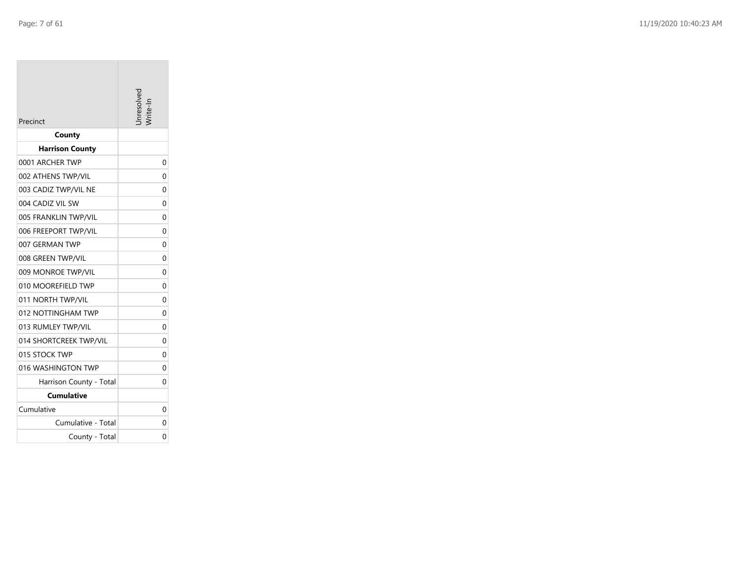| Precinct                | nresolver      |
|-------------------------|----------------|
| County                  |                |
| <b>Harrison County</b>  |                |
| 0001 ARCHER TWP         | $\overline{0}$ |
| 002 ATHENS TWP/VIL      | $\Omega$       |
| 003 CADIZ TWP/VIL NE    | 0              |
| 004 CADIZ VIL SW        | 0              |
| 005 FRANKLIN TWP/VIL    | $\Omega$       |
| 006 FREEPORT TWP/VIL    | 0              |
| 007 GERMAN TWP          | 0              |
| 008 GREEN TWP/VIL       | 0              |
| 009 MONROE TWP/VIL      | 0              |
| 010 MOOREFIELD TWP      | 0              |
| 011 NORTH TWP/VIL       | 0              |
| 012 NOTTINGHAM TWP      | 0              |
| 013 RUMLEY TWP/VIL      | $\Omega$       |
| 014 SHORTCREEK TWP/VIL  | 0              |
| 015 STOCK TWP           | 0              |
| 016 WASHINGTON TWP      | 0              |
| Harrison County - Total | 0              |
| <b>Cumulative</b>       |                |
| Cumulative              | 0              |
| Cumulative - Total      | 0              |
| County - Total          | 0              |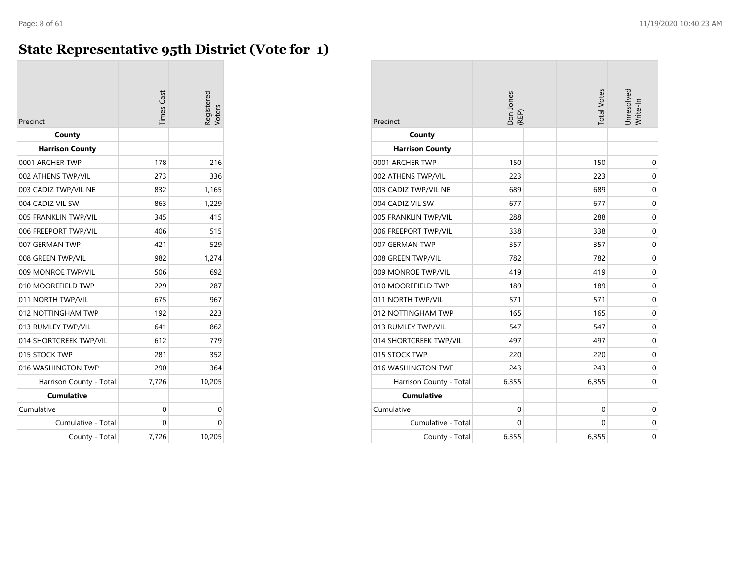### **State Representative 95th District (Vote for 1)**

| Precinct                | <b>Times</b> Cast | egistered.<br><b>loters</b> |
|-------------------------|-------------------|-----------------------------|
| County                  |                   |                             |
| <b>Harrison County</b>  |                   |                             |
| 0001 ARCHER TWP         | 178               | 216                         |
| 002 ATHENS TWP/VIL      | 273               | 336                         |
| 003 CADIZ TWP/VIL NE    | 832               | 1,165                       |
| 004 CADIZ VIL SW        | 863               | 1,229                       |
| 005 FRANKLIN TWP/VIL    | 345               | 415                         |
| 006 FREEPORT TWP/VIL    | 406               | 515                         |
| 007 GERMAN TWP          | 421               | 529                         |
| 008 GREEN TWP/VIL       | 982               | 1,274                       |
| 009 MONROE TWP/VIL      | 506               | 692                         |
| 010 MOOREFIELD TWP      | 229               | 287                         |
| 011 NORTH TWP/VIL       | 675               | 967                         |
| 012 NOTTINGHAM TWP      | 192               | 223                         |
| 013 RUMLEY TWP/VIL      | 641               | 862                         |
| 014 SHORTCREEK TWP/VIL  | 612               | 779                         |
| 015 STOCK TWP           | 281               | 352                         |
| 016 WASHINGTON TWP      | 290               | 364                         |
| Harrison County - Total | 7,726             | 10,205                      |
| <b>Cumulative</b>       |                   |                             |
| Cumulative              | 0                 | 0                           |
| Cumulative - Total      | 0                 | 0                           |
| County - Total          | 7,726             | 10,205                      |

| Precinct                | Don Jones<br>(REP) | <b>Total Votes</b> | Unresolved<br>Write-In |
|-------------------------|--------------------|--------------------|------------------------|
| County                  |                    |                    |                        |
| <b>Harrison County</b>  |                    |                    |                        |
| 0001 ARCHER TWP         | 150                | 150                | 0                      |
| 002 ATHENS TWP/VIL      | 223                | 223                | 0                      |
| 003 CADIZ TWP/VIL NE    | 689                | 689                | $\mathbf 0$            |
| 004 CADIZ VIL SW        | 677                | 677                | $\mathbf 0$            |
| 005 FRANKLIN TWP/VIL    | 288                | 288                | 0                      |
| 006 FREEPORT TWP/VIL    | 338                | 338                | $\mathbf 0$            |
| 007 GERMAN TWP          | 357                | 357                | $\mathbf 0$            |
| 008 GREEN TWP/VIL       | 782                | 782                | 0                      |
| 009 MONROE TWP/VIL      | 419                | 419                | $\mathbf 0$            |
| 010 MOOREFIELD TWP      | 189                | 189                | $\mathbf 0$            |
| 011 NORTH TWP/VIL       | 571                | 571                | $\mathbf 0$            |
| 012 NOTTINGHAM TWP      | 165                | 165                | 0                      |
| 013 RUMLEY TWP/VIL      | 547                | 547                | $\mathbf 0$            |
| 014 SHORTCREEK TWP/VIL  | 497                | 497                | 0                      |
| 015 STOCK TWP           | 220                | 220                | $\boldsymbol{0}$       |
| 016 WASHINGTON TWP      | 243                | 243                | $\mathbf 0$            |
| Harrison County - Total | 6,355              | 6,355              | $\mathbf 0$            |
| <b>Cumulative</b>       |                    |                    |                        |
| Cumulative              | $\mathbf 0$        | 0                  | $\mathbf 0$            |
| Cumulative - Total      | 0                  | 0                  | 0                      |
| County - Total          | 6,355              | 6,355              | 0                      |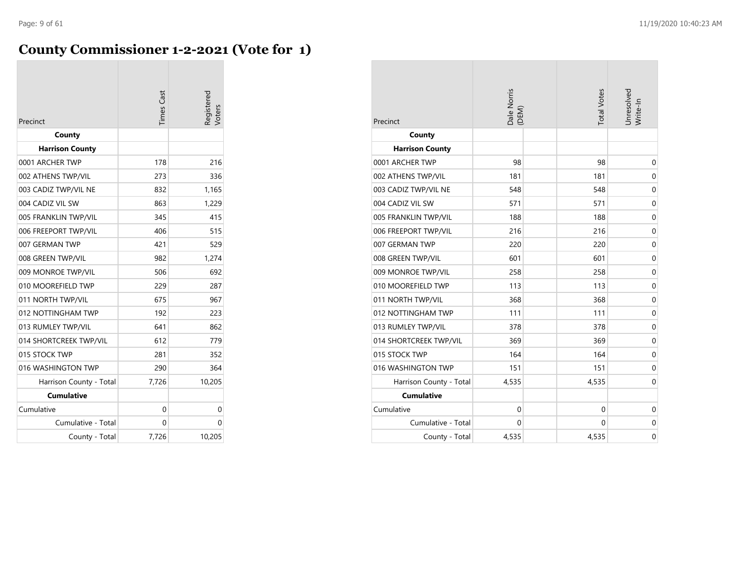### **County Commissioner 1-2-2021 (Vote for 1)**

| Precinct                | <b>Times</b> Cast | Registerec<br>/oters |
|-------------------------|-------------------|----------------------|
| County                  |                   |                      |
| <b>Harrison County</b>  |                   |                      |
| 0001 ARCHER TWP         | 178               | 216                  |
| 002 ATHENS TWP/VIL      | 273               | 336                  |
| 003 CADIZ TWP/VIL NE    | 832               | 1,165                |
| 004 CADIZ VIL SW        | 863               | 1,229                |
| 005 FRANKLIN TWP/VIL    | 345               | 415                  |
| 006 FREEPORT TWP/VIL    | 406               | 515                  |
| 007 GERMAN TWP          | 421               | 529                  |
| 008 GREEN TWP/VIL       | 982               | 1,274                |
| 009 MONROE TWP/VIL      | 506               | 692                  |
| 010 MOOREFIELD TWP      | 229               | 287                  |
| 011 NORTH TWP/VIL       | 675               | 967                  |
| 012 NOTTINGHAM TWP      | 192               | 223                  |
| 013 RUMLEY TWP/VIL      | 641               | 862                  |
| 014 SHORTCREEK TWP/VIL  | 612               | 779                  |
| 015 STOCK TWP           | 281               | 352                  |
| 016 WASHINGTON TWP      | 290               | 364                  |
| Harrison County - Total | 7,726             | 10,205               |
| <b>Cumulative</b>       |                   |                      |
| Cumulative              | 0                 | 0                    |
| Cumulative - Total      | 0                 | 0                    |
| County - Total          | 7,726             | 10,205               |

| Precinct                | Dale Norris<br>(DEM) | <b>Total Votes</b> | Unresolved<br>Write-In |
|-------------------------|----------------------|--------------------|------------------------|
| County                  |                      |                    |                        |
| <b>Harrison County</b>  |                      |                    |                        |
| 0001 ARCHER TWP         | 98                   | 98                 | 0                      |
| 002 ATHENS TWP/VIL      | 181                  | 181                | $\mathbf 0$            |
| 003 CADIZ TWP/VIL NE    | 548                  | 548                | 0                      |
| 004 CADIZ VIL SW        | 571                  | 571                | 0                      |
| 005 FRANKLIN TWP/VIL    | 188                  | 188                | $\mathbf 0$            |
| 006 FREEPORT TWP/VIL    | 216                  | 216                | $\mathbf 0$            |
| 007 GERMAN TWP          | 220                  | 220                | $\mathbf 0$            |
| 008 GREEN TWP/VIL       | 601                  | 601                | $\boldsymbol{0}$       |
| 009 MONROE TWP/VIL      | 258                  | 258                | $\mathbf 0$            |
| 010 MOOREFIELD TWP      | 113                  | 113                | 0                      |
| 011 NORTH TWP/VIL       | 368                  | 368                | $\mathbf 0$            |
| 012 NOTTINGHAM TWP      | 111                  | 111                | $\mathbf 0$            |
| 013 RUMLEY TWP/VIL      | 378                  | 378                | 0                      |
| 014 SHORTCREEK TWP/VIL  | 369                  | 369                | $\mathbf 0$            |
| 015 STOCK TWP           | 164                  | 164                | $\mathbf 0$            |
| 016 WASHINGTON TWP      | 151                  | 151                | $\mathbf 0$            |
| Harrison County - Total | 4,535                | 4,535              | 0                      |
| <b>Cumulative</b>       |                      |                    |                        |
| Cumulative              | $\mathbf 0$          | $\mathbf 0$        | $\mathbf 0$            |
| Cumulative - Total      | 0                    | 0                  | 0                      |
| County - Total          | 4,535                | 4,535              | $\mathbf 0$            |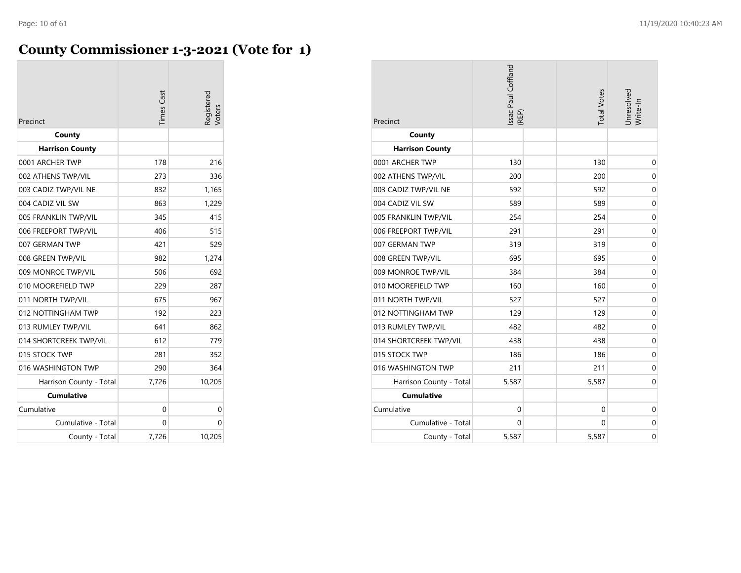### **County Commissioner 1-3-2021 (Vote for 1)**

| Precinct                | <b>Times</b> Cast | Registered<br>/oters |
|-------------------------|-------------------|----------------------|
| County                  |                   |                      |
| <b>Harrison County</b>  |                   |                      |
| 0001 ARCHER TWP         | 178               | 216                  |
| 002 ATHENS TWP/VIL      | 273               | 336                  |
| 003 CADIZ TWP/VIL NE    | 832               | 1,165                |
| 004 CADIZ VIL SW        | 863               | 1,229                |
| 005 FRANKLIN TWP/VIL    | 345               | 415                  |
| 006 FREEPORT TWP/VIL    | 406               | 515                  |
| 007 GERMAN TWP          | 421               | 529                  |
| 008 GREEN TWP/VIL       | 982               | 1,274                |
| 009 MONROE TWP/VIL      | 506               | 692                  |
| 010 MOOREFIELD TWP      | 229               | 287                  |
| 011 NORTH TWP/VIL       | 675               | 967                  |
| 012 NOTTINGHAM TWP      | 192               | 223                  |
| 013 RUMLEY TWP/VIL      | 641               | 862                  |
| 014 SHORTCREEK TWP/VIL  | 612               | 779                  |
| 015 STOCK TWP           | 281               | 352                  |
| 016 WASHINGTON TWP      | 290               | 364                  |
| Harrison County - Total | 7,726             | 10,205               |
| <b>Cumulative</b>       |                   |                      |
| Cumulative              | 0                 | 0                    |
| Cumulative - Total      | 0                 | 0                    |
| County - Total          | 7,726             | 10,205               |

| Precinct                | Issac Paul Coffland<br>(REP) | <b>Total Votes</b> | Jnresolved<br>Write-In |
|-------------------------|------------------------------|--------------------|------------------------|
| County                  |                              |                    |                        |
| <b>Harrison County</b>  |                              |                    |                        |
| 0001 ARCHER TWP         | 130                          | 130                | 0                      |
| 002 ATHENS TWP/VIL      | 200                          | 200                | $\mathbf 0$            |
| 003 CADIZ TWP/VIL NE    | 592                          | 592                | $\mathbf 0$            |
| 004 CADIZ VIL SW        | 589                          | 589                | $\mathbf 0$            |
| 005 FRANKLIN TWP/VIL    | 254                          | 254                | $\mathbf 0$            |
| 006 FREEPORT TWP/VIL    | 291                          | 291                | $\mathbf 0$            |
| 007 GERMAN TWP          | 319                          | 319                | 0                      |
| 008 GREEN TWP/VIL       | 695                          | 695                | $\mathbf 0$            |
| 009 MONROE TWP/VIL      | 384                          | 384                | $\mathbf 0$            |
| 010 MOOREFIELD TWP      | 160                          | 160                | 0                      |
| 011 NORTH TWP/VIL       | 527                          | 527                | $\mathbf 0$            |
| 012 NOTTINGHAM TWP      | 129                          | 129                | $\mathbf 0$            |
| 013 RUMLEY TWP/VIL      | 482                          | 482                | 0                      |
| 014 SHORTCREEK TWP/VIL  | 438                          | 438                | $\mathbf 0$            |
| 015 STOCK TWP           | 186                          | 186                | $\mathbf 0$            |
| 016 WASHINGTON TWP      | 211                          | 211                | 0                      |
| Harrison County - Total | 5,587                        | 5,587              | $\mathbf 0$            |
| <b>Cumulative</b>       |                              |                    |                        |
| Cumulative              | $\mathbf 0$                  | $\mathbf 0$        | $\mathbf 0$            |
| Cumulative - Total      | $\mathbf 0$                  | $\mathbf 0$        | $\mathbf 0$            |
| County - Total          | 5,587                        | 5,587              | $\mathbf 0$            |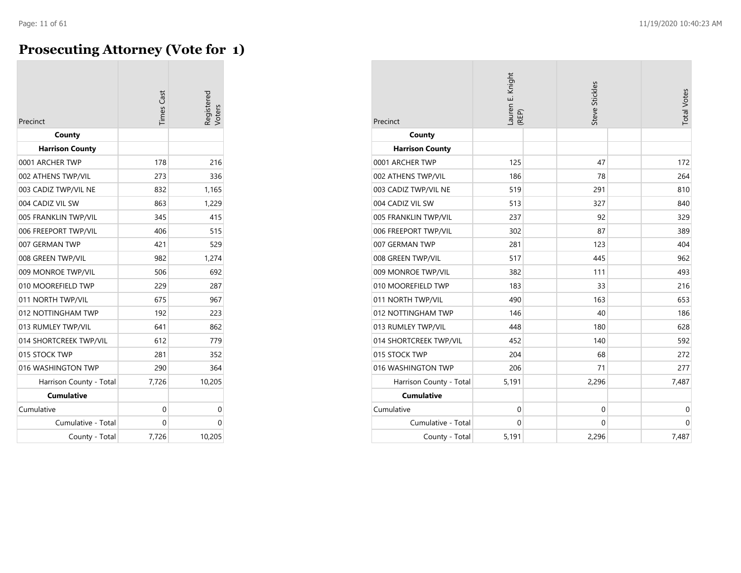### **Prosecuting Attorney (Vote for 1)**

| Precinct                         | <b>Times</b> Cast | Registered<br>Voters |
|----------------------------------|-------------------|----------------------|
| County<br><b>Harrison County</b> |                   |                      |
| 0001 ARCHER TWP                  | 178               | 216                  |
| 002 ATHENS TWP/VIL               | 273               | 336                  |
| 003 CADIZ TWP/VIL NE             | 832               | 1,165                |
| 004 CADIZ VIL SW                 | 863               | 1,229                |
| 005 FRANKLIN TWP/VIL             | 345               | 415                  |
| 006 FREEPORT TWP/VIL             | 406               | 515                  |
| 007 GERMAN TWP                   | 421               | 529                  |
| 008 GREEN TWP/VIL                | 982               | 1,274                |
| 009 MONROE TWP/VIL               | 506               | 692                  |
| 010 MOOREFIELD TWP               | 229               | 287                  |
| 011 NORTH TWP/VIL                | 675               | 967                  |
| 012 NOTTINGHAM TWP               | 192               | 223                  |
| 013 RUMLEY TWP/VIL               | 641               | 862                  |
| 014 SHORTCREEK TWP/VIL           | 612               | 779                  |
| 015 STOCK TWP                    | 281               | 352                  |
| 016 WASHINGTON TWP               | 290               | 364                  |
| Harrison County - Total          | 7,726             | 10,205               |
| <b>Cumulative</b>                |                   |                      |
| Cumulative                       | 0                 | 0                    |
| Cumulative - Total               | 0                 | 0                    |
| County - Total                   | 7,726             | 10,205               |

| Precinct                | auren E. Knight<br>(REP) | <b>Steve Stickles</b> | <b>Total Votes</b> |
|-------------------------|--------------------------|-----------------------|--------------------|
| County                  |                          |                       |                    |
| <b>Harrison County</b>  |                          |                       |                    |
| 0001 ARCHER TWP         | 125                      | 47                    | 172                |
| 002 ATHENS TWP/VIL      | 186                      | 78                    | 264                |
| 003 CADIZ TWP/VIL NE    | 519                      | 291                   | 810                |
| 004 CADIZ VIL SW        | 513                      | 327                   | 840                |
| 005 FRANKLIN TWP/VIL    | 237                      | 92                    | 329                |
| 006 FREEPORT TWP/VIL    | 302                      | 87                    | 389                |
| 007 GERMAN TWP          | 281                      | 123                   | 404                |
| 008 GREEN TWP/VIL       | 517                      | 445                   | 962                |
| 009 MONROE TWP/VIL      | 382                      | 111                   | 493                |
| 010 MOOREFIELD TWP      | 183                      | 33                    | 216                |
| 011 NORTH TWP/VIL       | 490                      | 163                   | 653                |
| 012 NOTTINGHAM TWP      | 146                      | 40                    | 186                |
| 013 RUMLEY TWP/VIL      | 448                      | 180                   | 628                |
| 014 SHORTCREEK TWP/VIL  | 452                      | 140                   | 592                |
| 015 STOCK TWP           | 204                      | 68                    | 272                |
| 016 WASHINGTON TWP      | 206                      | 71                    | 277                |
| Harrison County - Total | 5,191                    | 2,296                 | 7,487              |
| <b>Cumulative</b>       |                          |                       |                    |
| Cumulative              | $\mathbf 0$              | $\mathbf 0$           | 0                  |
| Cumulative - Total      | $\mathbf 0$              | $\mathbf 0$           | $\mathbf 0$        |
| County - Total          | 5,191                    | 2,296                 | 7,487              |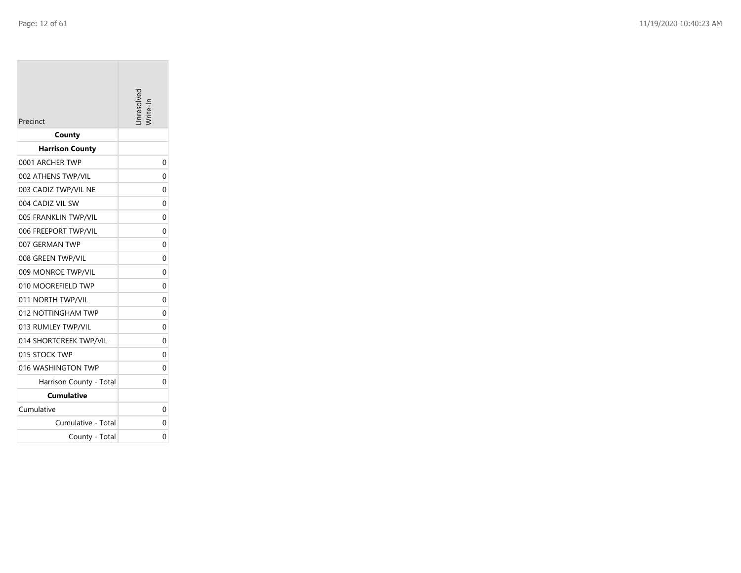| Precinct                | nresolved |
|-------------------------|-----------|
| County                  |           |
| <b>Harrison County</b>  |           |
| 0001 ARCHER TWP         | 0         |
| 002 ATHENS TWP/VIL      | 0         |
| 003 CADIZ TWP/VIL NE    | 0         |
| 004 CADIZ VIL SW        | 0         |
| 005 FRANKLIN TWP/VIL    | $\Omega$  |
| 006 FREEPORT TWP/VIL    | 0         |
| 007 GERMAN TWP          | 0         |
| 008 GREEN TWP/VIL       | 0         |
| 009 MONROE TWP/VIL      | 0         |
| 010 MOOREFIELD TWP      | 0         |
| 011 NORTH TWP/VIL       | 0         |
| 012 NOTTINGHAM TWP      | 0         |
| 013 RUMLEY TWP/VIL      | $\Omega$  |
| 014 SHORTCREEK TWP/VIL  | 0         |
| 015 STOCK TWP           | 0         |
| 016 WASHINGTON TWP      | 0         |
| Harrison County - Total | 0         |
| <b>Cumulative</b>       |           |
| Cumulative              | 0         |
| Cumulative - Total      | 0         |
| County - Total          | 0         |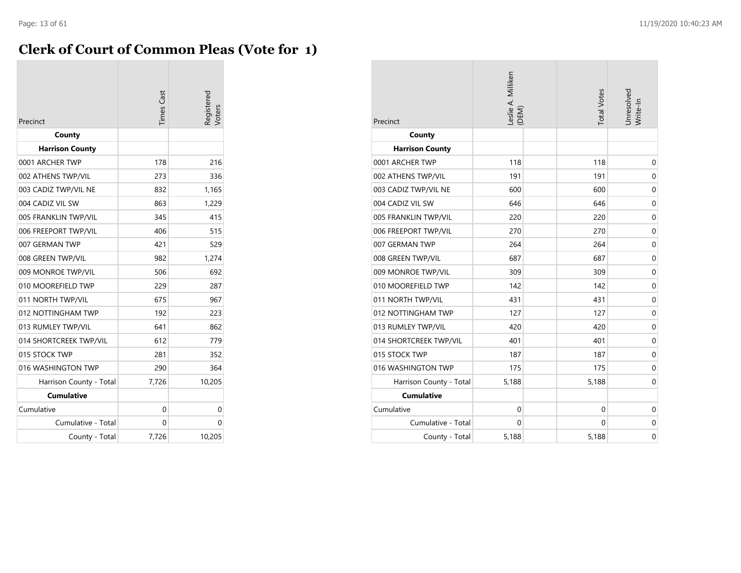### **Clerk of Court of Common Pleas (Vote for 1)**

| Precinct                | <b>Times Cast</b> | egistered<br><b>oters</b> |
|-------------------------|-------------------|---------------------------|
| County                  |                   |                           |
| <b>Harrison County</b>  |                   |                           |
| 0001 ARCHER TWP         | 178               | 216                       |
| 002 ATHENS TWP/VIL      | 273               | 336                       |
| 003 CADIZ TWP/VIL NE    | 832               | 1,165                     |
| 004 CADIZ VIL SW        | 863               | 1,229                     |
| 005 FRANKLIN TWP/VIL    | 345               | 415                       |
| 006 FREEPORT TWP/VIL    | 406               | 515                       |
| 007 GERMAN TWP          | 421               | 529                       |
| 008 GREEN TWP/VIL       | 982               | 1,274                     |
| 009 MONROE TWP/VIL      | 506               | 692                       |
| 010 MOOREFIELD TWP      | 229               | 287                       |
| 011 NORTH TWP/VIL       | 675               | 967                       |
| 012 NOTTINGHAM TWP      | 192               | 223                       |
| 013 RUMLEY TWP/VIL      | 641               | 862                       |
| 014 SHORTCREEK TWP/VIL  | 612               | 779                       |
| 015 STOCK TWP           | 281               | 352                       |
| 016 WASHINGTON TWP      | 290               | 364                       |
| Harrison County - Total | 7,726             | 10,205                    |
| <b>Cumulative</b>       |                   |                           |
| Cumulative              | 0                 | 0                         |
| Cumulative - Total      | 0                 | 0                         |
| County - Total          | 7.726             | 10,205                    |

| Precinct                | Leslie A. Milliken<br>(DEM) | <b>Total Votes</b> | Unresolved<br>Write-In |
|-------------------------|-----------------------------|--------------------|------------------------|
| County                  |                             |                    |                        |
| <b>Harrison County</b>  |                             |                    |                        |
| 0001 ARCHER TWP         | 118                         | 118                | $\mathbf 0$            |
| 002 ATHENS TWP/VIL      | 191                         | 191                | 0                      |
| 003 CADIZ TWP/VIL NE    | 600                         | 600                | $\mathbf 0$            |
| 004 CADIZ VIL SW        | 646                         | 646                | 0                      |
| 005 FRANKLIN TWP/VIL    | 220                         | 220                | $\mathbf 0$            |
| 006 FREEPORT TWP/VIL    | 270                         | 270                | $\mathbf 0$            |
| 007 GERMAN TWP          | 264                         | 264                | $\mathbf 0$            |
| 008 GREEN TWP/VIL       | 687                         | 687                | $\mathbf 0$            |
| 009 MONROE TWP/VIL      | 309                         | 309                | $\mathbf 0$            |
| 010 MOOREFIELD TWP      | 142                         | 142                | $\mathbf 0$            |
| 011 NORTH TWP/VIL       | 431                         | 431                | $\mathbf 0$            |
| 012 NOTTINGHAM TWP      | 127                         | 127                | $\mathbf 0$            |
| 013 RUMLEY TWP/VIL      | 420                         | 420                | $\mathbf 0$            |
| 014 SHORTCREEK TWP/VIL  | 401                         | 401                | $\mathbf 0$            |
| 015 STOCK TWP           | 187                         | 187                | $\mathbf 0$            |
| 016 WASHINGTON TWP      | 175                         | 175                | $\mathbf 0$            |
| Harrison County - Total | 5,188                       | 5,188              | $\mathbf 0$            |
| <b>Cumulative</b>       |                             |                    |                        |
| Cumulative              | $\mathbf 0$                 | 0                  | $\mathbf 0$            |
| Cumulative - Total      | $\mathbf 0$                 | 0                  | $\mathbf 0$            |
| County - Total          | 5,188                       | 5,188              | 0                      |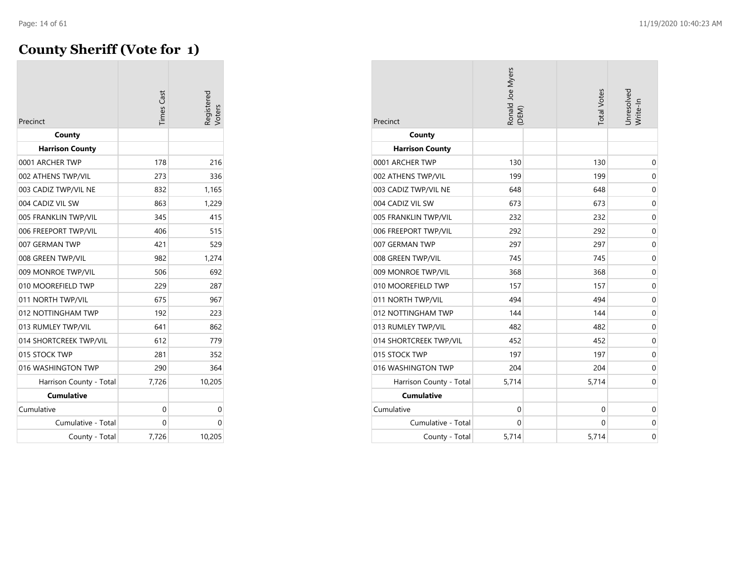### **County Sheriff (Vote for 1)**

| Precinct                | <b>Times Cast</b> | Registered<br>Voters |
|-------------------------|-------------------|----------------------|
| County                  |                   |                      |
| <b>Harrison County</b>  |                   |                      |
| 0001 ARCHER TWP         | 178               | 216                  |
| 002 ATHENS TWP/VIL      | 273               | 336                  |
| 003 CADIZ TWP/VIL NE    | 832               | 1,165                |
| 004 CADIZ VIL SW        | 863               | 1,229                |
| 005 FRANKLIN TWP/VIL    | 345               | 415                  |
| 006 FREEPORT TWP/VIL    | 406               | 515                  |
| 007 GERMAN TWP          | 421               | 529                  |
| 008 GREEN TWP/VIL       | 982               | 1,274                |
| 009 MONROE TWP/VIL      | 506               | 692                  |
| 010 MOOREFIELD TWP      | 229               | 287                  |
| 011 NORTH TWP/VIL       | 675               | 967                  |
| 012 NOTTINGHAM TWP      | 192               | 223                  |
| 013 RUMLEY TWP/VIL      | 641               | 862                  |
| 014 SHORTCREEK TWP/VIL  | 612               | 779                  |
| 015 STOCK TWP           | 281               | 352                  |
| 016 WASHINGTON TWP      | 290               | 364                  |
| Harrison County - Total | 7,726             | 10,205               |
| <b>Cumulative</b>       |                   |                      |
| Cumulative              | 0                 | 0                    |
| Cumulative - Total      | 0                 | 0                    |
| County - Total          | 7,726             | 10,205               |

| Precinct                | Ronald Joe Myers<br>(DEM) | <b>Total Votes</b> | Unresolved<br>Write-In |
|-------------------------|---------------------------|--------------------|------------------------|
| County                  |                           |                    |                        |
| <b>Harrison County</b>  |                           |                    |                        |
| 0001 ARCHER TWP         | 130                       | 130                | $\mathbf 0$            |
| 002 ATHENS TWP/VIL      | 199                       | 199                | 0                      |
| 003 CADIZ TWP/VIL NE    | 648                       | 648                | $\mathbf 0$            |
| 004 CADIZ VIL SW        | 673                       | 673                | $\mathbf 0$            |
| 005 FRANKLIN TWP/VIL    | 232                       | 232                | 0                      |
| 006 FREEPORT TWP/VIL    | 292                       | 292                | $\mathbf 0$            |
| 007 GERMAN TWP          | 297                       | 297                | $\mathbf 0$            |
| 008 GREEN TWP/VIL       | 745                       | 745                | $\mathbf 0$            |
| 009 MONROE TWP/VIL      | 368                       | 368                | $\mathbf 0$            |
| 010 MOOREFIELD TWP      | 157                       | 157                | $\mathbf 0$            |
| 011 NORTH TWP/VIL       | 494                       | 494                | 0                      |
| 012 NOTTINGHAM TWP      | 144                       | 144                | $\mathsf{O}\xspace$    |
| 013 RUMLEY TWP/VIL      | 482                       | 482                | $\mathbf 0$            |
| 014 SHORTCREEK TWP/VIL  | 452                       | 452                | $\mathbf 0$            |
| 015 STOCK TWP           | 197                       | 197                | $\mathbf 0$            |
| 016 WASHINGTON TWP      | 204                       | 204                | $\mathbf 0$            |
| Harrison County - Total | 5,714                     | 5,714              | $\mathbf 0$            |
| <b>Cumulative</b>       |                           |                    |                        |
| Cumulative              | $\mathbf 0$               | $\mathbf 0$        | 0                      |
| Cumulative - Total      | $\mathbf 0$               | 0                  | $\mathbf 0$            |
| County - Total          | 5,714                     | 5,714              | 0                      |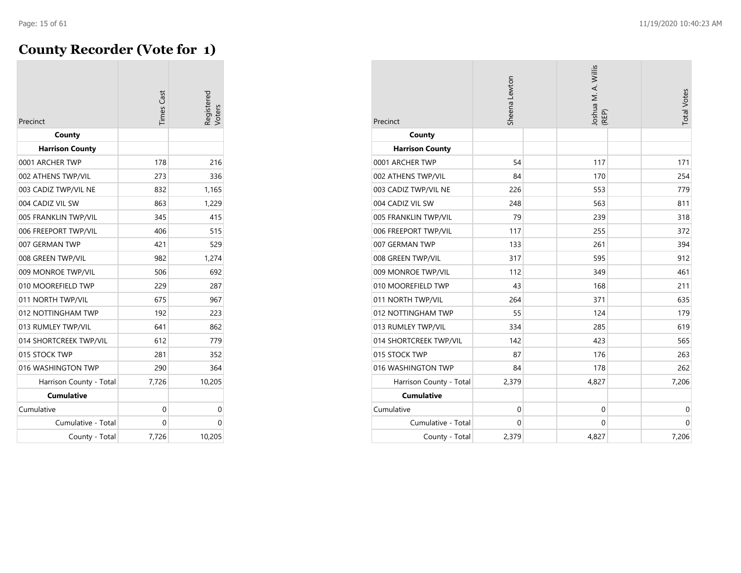$\sim$ 

### **County Recorder (Vote for 1)**

| Precinct                | <b>Times</b> Cast | Registered<br><b>Voters</b> |
|-------------------------|-------------------|-----------------------------|
| County                  |                   |                             |
| <b>Harrison County</b>  |                   |                             |
| 0001 ARCHER TWP         | 178               | 216                         |
| 002 ATHENS TWP/VIL      | 273               | 336                         |
| 003 CADIZ TWP/VIL NE    | 832               | 1,165                       |
| 004 CADIZ VIL SW        | 863               | 1,229                       |
| 005 FRANKLIN TWP/VIL    | 345               | 415                         |
| 006 FREEPORT TWP/VIL    | 406               | 515                         |
| 007 GERMAN TWP          | 421               | 529                         |
| 008 GREEN TWP/VIL       | 982               | 1,274                       |
| 009 MONROE TWP/VIL      | 506               | 692                         |
| 010 MOOREFIELD TWP      | 229               | 287                         |
| 011 NORTH TWP/VIL       | 675               | 967                         |
| 012 NOTTINGHAM TWP      | 192               | 223                         |
| 013 RUMLEY TWP/VIL      | 641               | 862                         |
| 014 SHORTCREEK TWP/VIL  | 612               | 779                         |
| 015 STOCK TWP           | 281               | 352                         |
| 016 WASHINGTON TWP      | 290               | 364                         |
| Harrison County - Total | 7,726             | 10,205                      |
| <b>Cumulative</b>       |                   |                             |
| Cumulative              | 0                 | 0                           |
| Cumulative - Total      | 0                 | 0                           |
| County - Total          | 7,726             | 10,205                      |

| Precinct                | Sheena Lewton | Joshua M. A. Willis<br>(REP) | <b>Total Votes</b> |
|-------------------------|---------------|------------------------------|--------------------|
| County                  |               |                              |                    |
| <b>Harrison County</b>  |               |                              |                    |
| 0001 ARCHER TWP         | 54            | 117                          | 171                |
| 002 ATHENS TWP/VIL      | 84            | 170                          | 254                |
| 003 CADIZ TWP/VIL NE    | 226           | 553                          | 779                |
| 004 CADIZ VIL SW        | 248           | 563                          | 811                |
| 005 FRANKLIN TWP/VIL    | 79            | 239                          | 318                |
| 006 FREEPORT TWP/VIL    | 117           | 255                          | 372                |
| 007 GERMAN TWP          | 133           | 261                          | 394                |
| 008 GREEN TWP/VIL       | 317           | 595                          | 912                |
| 009 MONROE TWP/VIL      | 112           | 349                          | 461                |
| 010 MOOREFIELD TWP      | 43            | 168                          | 211                |
| 011 NORTH TWP/VIL       | 264           | 371                          | 635                |
| 012 NOTTINGHAM TWP      | 55            | 124                          | 179                |
| 013 RUMLEY TWP/VIL      | 334           | 285                          | 619                |
| 014 SHORTCREEK TWP/VIL  | 142           | 423                          | 565                |
| 015 STOCK TWP           | 87            | 176                          | 263                |
| 016 WASHINGTON TWP      | 84            | 178                          | 262                |
| Harrison County - Total | 2,379         | 4,827                        | 7,206              |
| <b>Cumulative</b>       |               |                              |                    |
| Cumulative              | $\mathbf 0$   | $\mathbf 0$                  | 0                  |
| Cumulative - Total      | $\mathbf 0$   | $\mathbf 0$                  | $\mathbf 0$        |
| County - Total          | 2,379         | 4,827                        | 7,206              |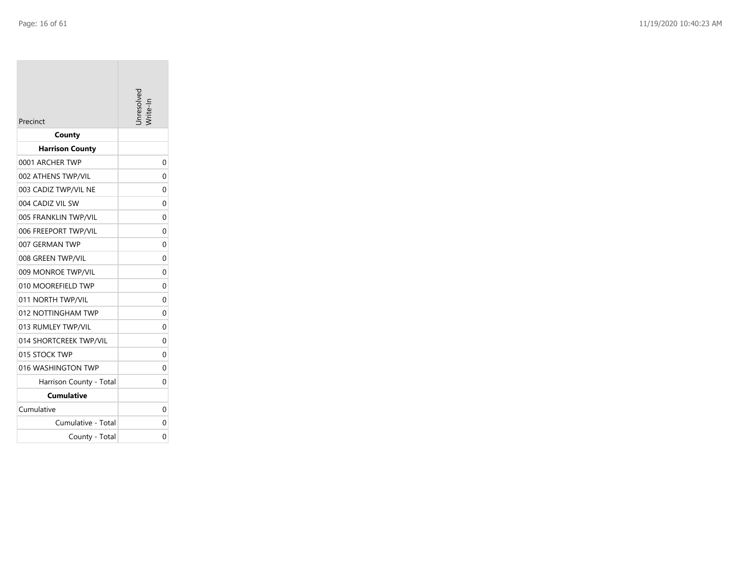| Precinct                | nresolve |
|-------------------------|----------|
| County                  |          |
| <b>Harrison County</b>  |          |
| 0001 ARCHER TWP         | 0        |
| 002 ATHENS TWP/VIL      | 0        |
| 003 CADIZ TWP/VIL NE    | 0        |
| 004 CADIZ VIL SW        | 0        |
| 005 FRANKLIN TWP/VIL    | $\Omega$ |
| 006 FREEPORT TWP/VIL    | 0        |
| 007 GERMAN TWP          | 0        |
| 008 GREEN TWP/VIL       | 0        |
| 009 MONROE TWP/VIL      | 0        |
| 010 MOOREFIELD TWP      | 0        |
| 011 NORTH TWP/VIL       | 0        |
| 012 NOTTINGHAM TWP      | 0        |
| 013 RUMLEY TWP/VIL      | $\Omega$ |
| 014 SHORTCREEK TWP/VIL  | 0        |
| 015 STOCK TWP           | 0        |
| 016 WASHINGTON TWP      | 0        |
| Harrison County - Total | 0        |
| <b>Cumulative</b>       |          |
| Cumulative              | 0        |
| Cumulative - Total      | 0        |
| County - Total          | 0        |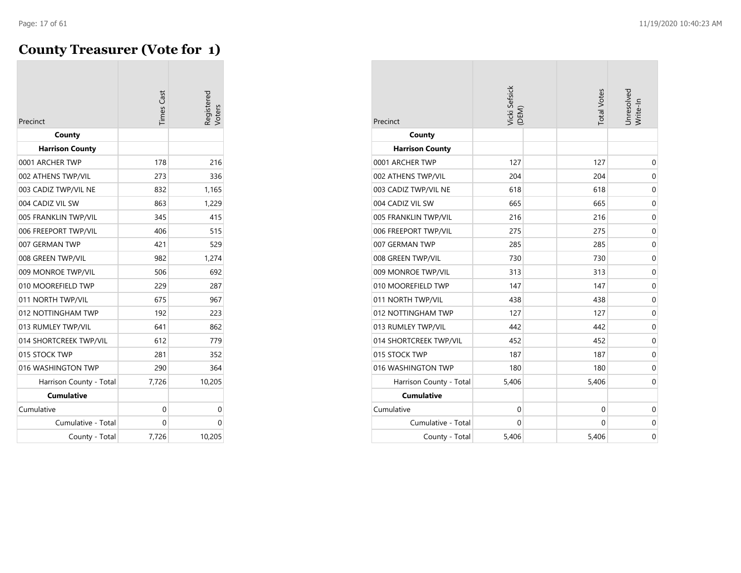**COL** 

### **County Treasurer (Vote for 1)**

| Precinct                | <b>Times</b> Cast | Registered<br><b>Voters</b> |
|-------------------------|-------------------|-----------------------------|
| County                  |                   |                             |
| <b>Harrison County</b>  |                   |                             |
| 0001 ARCHER TWP         | 178               | 216                         |
| 002 ATHENS TWP/VIL      | 273               | 336                         |
| 003 CADIZ TWP/VIL NE    | 832               | 1,165                       |
| 004 CADIZ VIL SW        | 863               | 1,229                       |
| 005 FRANKLIN TWP/VIL    | 345               | 415                         |
| 006 FREEPORT TWP/VIL    | 406               | 515                         |
| 007 GERMAN TWP          | 421               | 529                         |
| 008 GREEN TWP/VIL       | 982               | 1,274                       |
| 009 MONROE TWP/VIL      | 506               | 692                         |
| 010 MOOREFIELD TWP      | 229               | 287                         |
| 011 NORTH TWP/VIL       | 675               | 967                         |
| 012 NOTTINGHAM TWP      | 192               | 223                         |
| 013 RUMLEY TWP/VIL      | 641               | 862                         |
| 014 SHORTCREEK TWP/VIL  | 612               | 779                         |
| 015 STOCK TWP           | 281               | 352                         |
| 016 WASHINGTON TWP      | 290               | 364                         |
| Harrison County - Total | 7,726             | 10,205                      |
| <b>Cumulative</b>       |                   |                             |
| Cumulative              | 0                 | 0                           |
| Cumulative - Total      | 0                 | 0                           |
| County - Total          | 7,726             | 10,205                      |

| Precinct                | Vicki Sefsick<br>(DEM) | <b>Total Votes</b> | Unresolved<br>Write-In |
|-------------------------|------------------------|--------------------|------------------------|
| County                  |                        |                    |                        |
| <b>Harrison County</b>  |                        |                    |                        |
| 0001 ARCHER TWP         | 127                    | 127                | 0                      |
| 002 ATHENS TWP/VIL      | 204                    | 204                | 0                      |
| 003 CADIZ TWP/VIL NE    | 618                    | 618                | 0                      |
| 004 CADIZ VIL SW        | 665                    | 665                | $\mathbf 0$            |
| 005 FRANKLIN TWP/VIL    | 216                    | 216                | $\mathbf 0$            |
| 006 FREEPORT TWP/VIL    | 275                    | 275                | $\mathbf 0$            |
| 007 GERMAN TWP          | 285                    | 285                | $\mathbf 0$            |
| 008 GREEN TWP/VIL       | 730                    | 730                | $\mathbf 0$            |
| 009 MONROE TWP/VIL      | 313                    | 313                | $\mathbf 0$            |
| 010 MOOREFIELD TWP      | 147                    | 147                | $\mathbf 0$            |
| 011 NORTH TWP/VIL       | 438                    | 438                | $\mathbf 0$            |
| 012 NOTTINGHAM TWP      | 127                    | 127                | $\mathbf 0$            |
| 013 RUMLEY TWP/VIL      | 442                    | 442                | $\mathbf 0$            |
| 014 SHORTCREEK TWP/VIL  | 452                    | 452                | $\mathbf 0$            |
| 015 STOCK TWP           | 187                    | 187                | $\mathbf 0$            |
| 016 WASHINGTON TWP      | 180                    | 180                | 0                      |
| Harrison County - Total | 5,406                  | 5,406              | $\mathbf 0$            |
| <b>Cumulative</b>       |                        |                    |                        |
| Cumulative              | 0                      | $\mathbf 0$        | $\mathbf 0$            |
| Cumulative - Total      | 0                      | 0                  | $\boldsymbol{0}$       |
| County - Total          | 5,406                  | 5,406              | $\mathbf 0$            |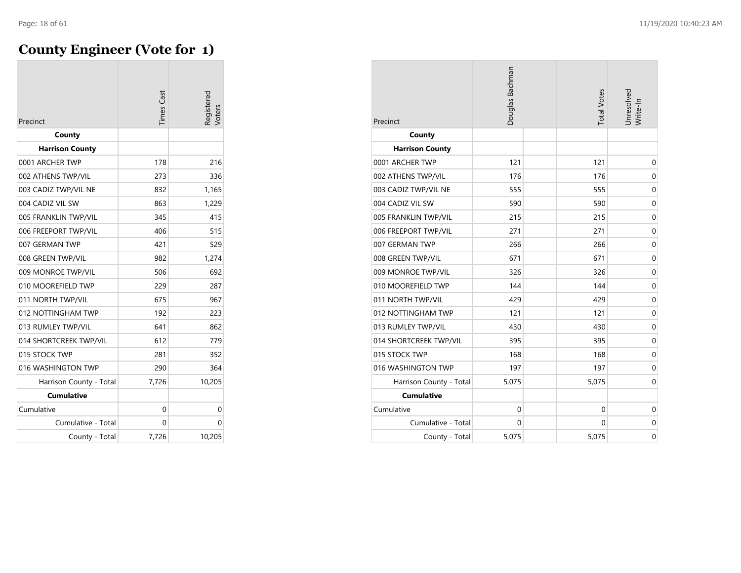## **County Engineer (Vote for 1)**

| Precinct                | <b>Times</b> Cast | Registered<br>Voters |
|-------------------------|-------------------|----------------------|
| County                  |                   |                      |
| <b>Harrison County</b>  |                   |                      |
| 0001 ARCHER TWP         | 178               | 216                  |
| 002 ATHENS TWP/VIL      | 273               | 336                  |
| 003 CADIZ TWP/VIL NE    | 832               | 1,165                |
| 004 CADIZ VIL SW        | 863               | 1,229                |
| 005 FRANKLIN TWP/VIL    | 345               | 415                  |
| 006 FREEPORT TWP/VIL    | 406               | 515                  |
| 007 GERMAN TWP          | 421               | 529                  |
| 008 GREEN TWP/VIL       | 982               | 1,274                |
| 009 MONROE TWP/VIL      | 506               | 692                  |
| 010 MOOREFIELD TWP      | 229               | 287                  |
| 011 NORTH TWP/VIL       | 675               | 967                  |
| 012 NOTTINGHAM TWP      | 192               | 223                  |
| 013 RUMLEY TWP/VIL      | 641               | 862                  |
| 014 SHORTCREEK TWP/VIL  | 612               | 779                  |
| 015 STOCK TWP           | 281               | 352                  |
| 016 WASHINGTON TWP      | 290               | 364                  |
| Harrison County - Total | 7,726             | 10,205               |
| <b>Cumulative</b>       |                   |                      |
| Cumulative              | 0                 | 0                    |
| Cumulative - Total      | 0                 | 0                    |
| County - Total          | 7,726             | 10,205               |

| Precinct                | Douglas Bachman | <b>Total Votes</b> | Unresolved<br>Write-In |
|-------------------------|-----------------|--------------------|------------------------|
| County                  |                 |                    |                        |
| <b>Harrison County</b>  |                 |                    |                        |
| 0001 ARCHER TWP         | 121             | 121                | $\mathbf 0$            |
| 002 ATHENS TWP/VIL      | 176             | 176                | $\mathbf 0$            |
| 003 CADIZ TWP/VIL NE    | 555             | 555                | $\mathbf 0$            |
| 004 CADIZ VIL SW        | 590             | 590                | $\mathbf 0$            |
| 005 FRANKLIN TWP/VIL    | 215             | 215                | $\mathbf 0$            |
| 006 FREEPORT TWP/VIL    | 271             | 271                | $\mathbf 0$            |
| 007 GERMAN TWP          | 266             | 266                | $\mathbf 0$            |
| 008 GREEN TWP/VIL       | 671             | 671                | $\mathbf 0$            |
| 009 MONROE TWP/VIL      | 326             | 326                | $\mathbf 0$            |
| 010 MOOREFIELD TWP      | 144             | 144                | $\mathbf 0$            |
| 011 NORTH TWP/VIL       | 429             | 429                | $\mathbf 0$            |
| 012 NOTTINGHAM TWP      | 121             | 121                | $\mathbf 0$            |
| 013 RUMLEY TWP/VIL      | 430             | 430                | $\mathbf 0$            |
| 014 SHORTCREEK TWP/VIL  | 395             | 395                | $\mathbf 0$            |
| 015 STOCK TWP           | 168             | 168                | $\mathbf 0$            |
| 016 WASHINGTON TWP      | 197             | 197                | $\mathbf 0$            |
| Harrison County - Total | 5,075           | 5,075              | $\mathbf 0$            |
| <b>Cumulative</b>       |                 |                    |                        |
| Cumulative              | $\Omega$        | 0                  | $\mathbf 0$            |
| Cumulative - Total      | 0               | 0                  | $\mathbf 0$            |
| County - Total          | 5,075           | 5,075              | $\mathbf 0$            |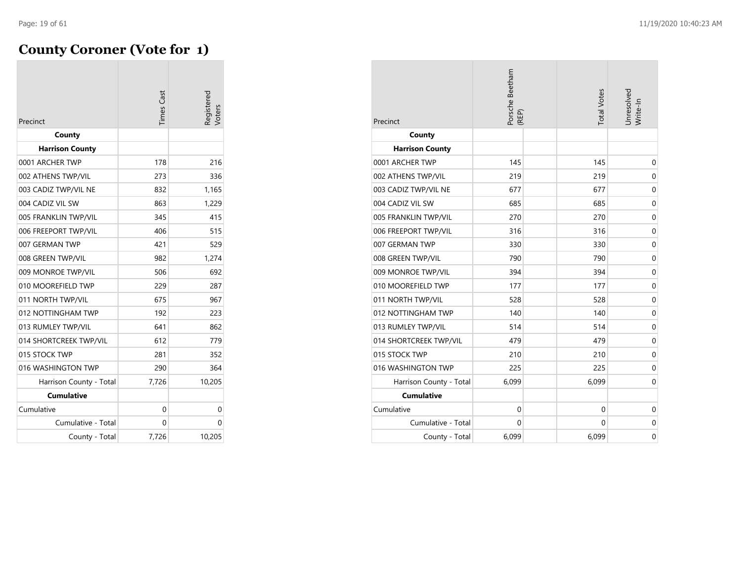## **County Coroner (Vote for 1)**

| Precinct                | <b>Times Cast</b> | Registered<br>Voters |
|-------------------------|-------------------|----------------------|
| County                  |                   |                      |
| <b>Harrison County</b>  |                   |                      |
| 0001 ARCHER TWP         | 178               | 216                  |
| 002 ATHENS TWP/VIL      | 273               | 336                  |
| 003 CADIZ TWP/VIL NE    | 832               | 1,165                |
| 004 CADIZ VIL SW        | 863               | 1,229                |
| 005 FRANKLIN TWP/VIL    | 345               | 415                  |
| 006 FREEPORT TWP/VIL    | 406               | 515                  |
| 007 GERMAN TWP          | 421               | 529                  |
| 008 GREEN TWP/VIL       | 982               | 1,274                |
| 009 MONROE TWP/VIL      | 506               | 692                  |
| 010 MOOREFIELD TWP      | 229               | 287                  |
| 011 NORTH TWP/VIL       | 675               | 967                  |
| 012 NOTTINGHAM TWP      | 192               | 223                  |
| 013 RUMLEY TWP/VIL      | 641               | 862                  |
| 014 SHORTCREEK TWP/VIL  | 612               | 779                  |
| 015 STOCK TWP           | 281               | 352                  |
| 016 WASHINGTON TWP      | 290               | 364                  |
| Harrison County - Total | 7,726             | 10,205               |
| <b>Cumulative</b>       |                   |                      |
| Cumulative              | 0                 | 0                    |
| Cumulative - Total      | 0                 | 0                    |
| County - Total          | 7,726             | 10,205               |

| Precinct                | Porsche Beetham<br>(REP) | <b>Total Votes</b> | Unresolved<br>Write-In |
|-------------------------|--------------------------|--------------------|------------------------|
| County                  |                          |                    |                        |
| <b>Harrison County</b>  |                          |                    |                        |
| 0001 ARCHER TWP         | 145                      | 145                | $\mathbf 0$            |
| 002 ATHENS TWP/VIL      | 219                      | 219                | $\mathbf 0$            |
| 003 CADIZ TWP/VIL NE    | 677                      | 677                | $\mathbf 0$            |
| 004 CADIZ VIL SW        | 685                      | 685                | $\mathbf 0$            |
| 005 FRANKLIN TWP/VIL    | 270                      | 270                | $\mathbf 0$            |
| 006 FREEPORT TWP/VIL    | 316                      | 316                | $\mathbf 0$            |
| 007 GERMAN TWP          | 330                      | 330                | $\mathbf 0$            |
| 008 GREEN TWP/VIL       | 790                      | 790                | $\mathbf 0$            |
| 009 MONROE TWP/VIL      | 394                      | 394                | $\mathbf 0$            |
| 010 MOOREFIELD TWP      | 177                      | 177                | $\mathbf 0$            |
| 011 NORTH TWP/VIL       | 528                      | 528                | $\mathbf 0$            |
| 012 NOTTINGHAM TWP      | 140                      | 140                | $\mathbf 0$            |
| 013 RUMLEY TWP/VIL      | 514                      | 514                | $\mathbf 0$            |
| 014 SHORTCREEK TWP/VIL  | 479                      | 479                | $\mathbf 0$            |
| 015 STOCK TWP           | 210                      | 210                | $\mathbf 0$            |
| 016 WASHINGTON TWP      | 225                      | 225                | $\mathbf 0$            |
| Harrison County - Total | 6,099                    | 6,099              | $\mathbf 0$            |
| <b>Cumulative</b>       |                          |                    |                        |
| Cumulative              | $\Omega$                 | $\mathbf 0$        | $\mathbf 0$            |
| Cumulative - Total      | 0                        | 0                  | $\mathbf 0$            |
| County - Total          | 6,099                    | 6,099              | $\mathbf 0$            |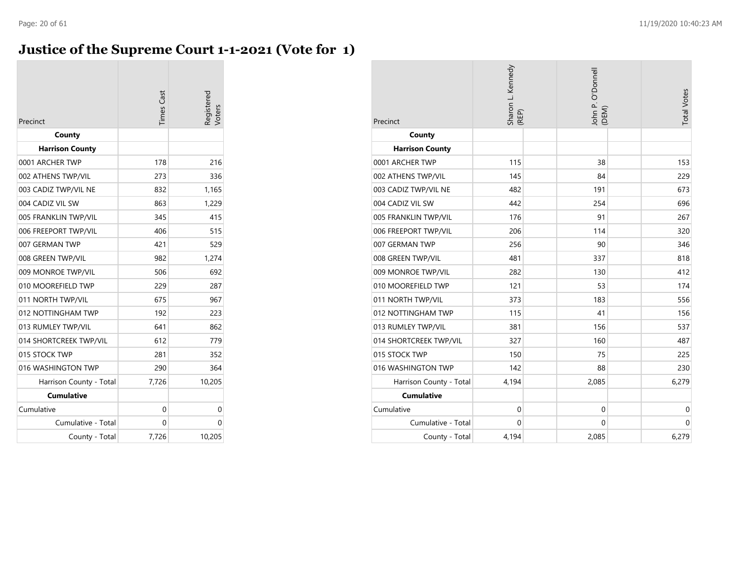### **Justice of the Supreme Court 1-1-2021 (Vote for 1)**

| Precinct                | <b>Times</b> Cast | egistered. |
|-------------------------|-------------------|------------|
| County                  |                   |            |
| <b>Harrison County</b>  |                   |            |
| 0001 ARCHER TWP         | 178               | 216        |
| 002 ATHENS TWP/VIL      | 273               | 336        |
| 003 CADIZ TWP/VIL NE    | 832               | 1,165      |
| 004 CADIZ VIL SW        | 863               | 1,229      |
| 005 FRANKLIN TWP/VIL    | 345               | 415        |
| 006 FREEPORT TWP/VIL    | 406               | 515        |
| 007 GERMAN TWP          | 421               | 529        |
| 008 GREEN TWP/VIL       | 982               | 1,274      |
| 009 MONROE TWP/VIL      | 506               | 692        |
| 010 MOOREFIELD TWP      | 229               | 287        |
| 011 NORTH TWP/VIL       | 675               | 967        |
| 012 NOTTINGHAM TWP      | 192               | 223        |
| 013 RUMLEY TWP/VIL      | 641               | 862        |
| 014 SHORTCREEK TWP/VIL  | 612               | 779        |
| 015 STOCK TWP           | 281               | 352        |
| 016 WASHINGTON TWP      | 290               | 364        |
| Harrison County - Total | 7,726             | 10,205     |
| <b>Cumulative</b>       |                   |            |
| Cumulative              | 0                 | 0          |
| Cumulative - Total      | 0                 | 0          |
| County - Total          | 7,726             | 10,205     |

| Precinct                | Sharon L. Kennedy<br>(REP) | John P. O'Donnell<br>(DEM) | <b>Total Votes</b> |
|-------------------------|----------------------------|----------------------------|--------------------|
| County                  |                            |                            |                    |
| <b>Harrison County</b>  |                            |                            |                    |
| 0001 ARCHER TWP         | 115                        | 38                         | 153                |
| 002 ATHENS TWP/VIL      | 145                        | 84                         | 229                |
| 003 CADIZ TWP/VIL NE    | 482                        | 191                        | 673                |
| 004 CADIZ VIL SW        | 442                        | 254                        | 696                |
| 005 FRANKLIN TWP/VIL    | 176                        | 91                         | 267                |
| 006 FREEPORT TWP/VIL    | 206                        | 114                        | 320                |
| 007 GERMAN TWP          | 256                        | 90                         | 346                |
| 008 GREEN TWP/VIL       | 481                        | 337                        | 818                |
| 009 MONROE TWP/VIL      | 282                        | 130                        | 412                |
| 010 MOOREFIELD TWP      | 121                        | 53                         | 174                |
| 011 NORTH TWP/VIL       | 373                        | 183                        | 556                |
| 012 NOTTINGHAM TWP      | 115                        | 41                         | 156                |
| 013 RUMLEY TWP/VIL      | 381                        | 156                        | 537                |
| 014 SHORTCREEK TWP/VIL  | 327                        | 160                        | 487                |
| 015 STOCK TWP           | 150                        | 75                         | 225                |
| 016 WASHINGTON TWP      | 142                        | 88                         | 230                |
| Harrison County - Total | 4,194                      | 2,085                      | 6,279              |
| <b>Cumulative</b>       |                            |                            |                    |
| Cumulative              | $\mathbf 0$                | 0                          | $\mathbf 0$        |
| Cumulative - Total      | $\mathbf 0$                | 0                          | $\mathbf 0$        |
| County - Total          | 4,194                      | 2,085                      | 6,279              |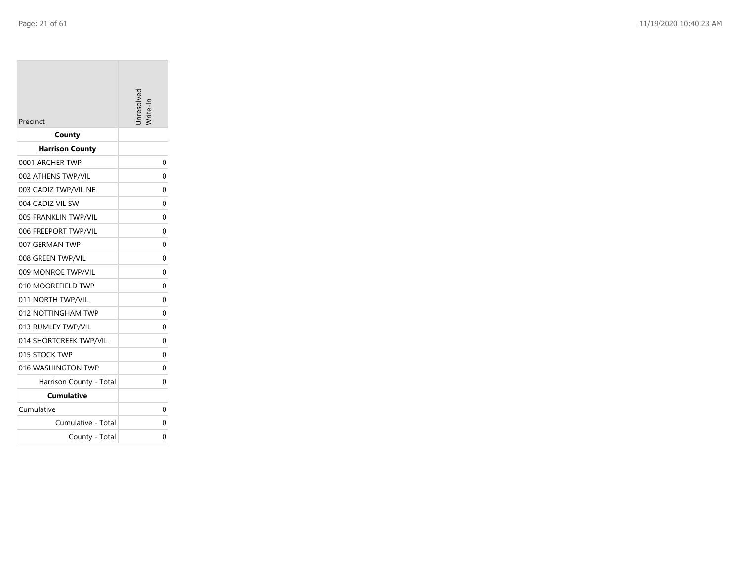| Precinct                | nresolver      |
|-------------------------|----------------|
| County                  |                |
| <b>Harrison County</b>  |                |
| 0001 ARCHER TWP         | 0              |
| 002 ATHENS TWP/VIL      | 0              |
| 003 CADIZ TWP/VIL NE    | 0              |
| 004 CADIZ VIL SW        | 0              |
| 005 FRANKLIN TWP/VIL    | 0              |
| 006 FREEPORT TWP/VIL    | 0              |
| 007 GERMAN TWP          | 0              |
| 008 GREEN TWP/VIL       | $\overline{0}$ |
| 009 MONROE TWP/VIL      | 0              |
| 010 MOOREFIELD TWP      | 0              |
| 011 NORTH TWP/VIL       | 0              |
| 012 NOTTINGHAM TWP      | 0              |
| 013 RUMLEY TWP/VIL      | 0              |
| 014 SHORTCREEK TWP/VIL  | 0              |
| 015 STOCK TWP           | 0              |
| 016 WASHINGTON TWP      | $\overline{0}$ |
| Harrison County - Total | 0              |
| <b>Cumulative</b>       |                |
| Cumulative              | 0              |
| Cumulative - Total      | 0              |
| County - Total          | 0              |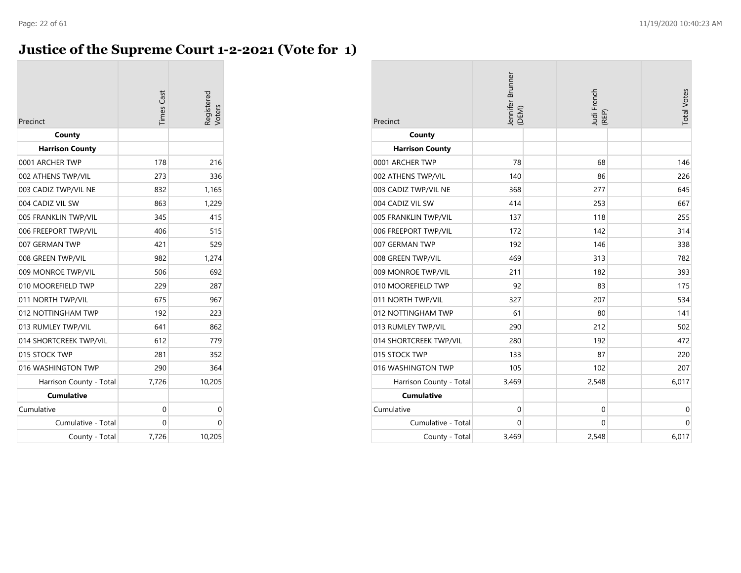### **Justice of the Supreme Court 1-2-2021 (Vote for 1)**

| Precinct                | <b>Times</b> Cast | egistered.<br><b>loters</b> |
|-------------------------|-------------------|-----------------------------|
| County                  |                   |                             |
| <b>Harrison County</b>  |                   |                             |
| 0001 ARCHER TWP         | 178               | 216                         |
| 002 ATHENS TWP/VIL      | 273               | 336                         |
| 003 CADIZ TWP/VIL NE    | 832               | 1,165                       |
| 004 CADIZ VIL SW        | 863               | 1,229                       |
| 005 FRANKLIN TWP/VIL    | 345               | 415                         |
| 006 FREEPORT TWP/VIL    | 406               | 515                         |
| 007 GERMAN TWP          | 421               | 529                         |
| 008 GREEN TWP/VIL       | 982               | 1,274                       |
| 009 MONROE TWP/VIL      | 506               | 692                         |
| 010 MOOREFIELD TWP      | 229               | 287                         |
| 011 NORTH TWP/VIL       | 675               | 967                         |
| 012 NOTTINGHAM TWP      | 192               | 223                         |
| 013 RUMLEY TWP/VIL      | 641               | 862                         |
| 014 SHORTCREEK TWP/VIL  | 612               | 779                         |
| 015 STOCK TWP           | 281               | 352                         |
| 016 WASHINGTON TWP      | 290               | 364                         |
| Harrison County - Total | 7,726             | 10,205                      |
| <b>Cumulative</b>       |                   |                             |
| Cumulative              | 0                 | 0                           |
| Cumulative - Total      | 0                 | 0                           |
| County - Total          | 7,726             | 10,205                      |

| Precinct                | Jennifer Brunner<br>(DEM) | Judi French<br>(REP) | <b>Total Votes</b> |
|-------------------------|---------------------------|----------------------|--------------------|
| County                  |                           |                      |                    |
| <b>Harrison County</b>  |                           |                      |                    |
| 0001 ARCHER TWP         | 78                        | 68                   | 146                |
| 002 ATHENS TWP/VIL      | 140                       | 86                   | 226                |
| 003 CADIZ TWP/VIL NE    | 368                       | 277                  | 645                |
| 004 CADIZ VIL SW        | 414                       | 253                  | 667                |
| 005 FRANKLIN TWP/VIL    | 137                       | 118                  | 255                |
| 006 FREEPORT TWP/VIL    | 172                       | 142                  | 314                |
| 007 GERMAN TWP          | 192                       | 146                  | 338                |
| 008 GREEN TWP/VIL       | 469                       | 313                  | 782                |
| 009 MONROE TWP/VIL      | 211                       | 182                  | 393                |
| 010 MOOREFIELD TWP      | 92                        | 83                   | 175                |
| 011 NORTH TWP/VIL       | 327                       | 207                  | 534                |
| 012 NOTTINGHAM TWP      | 61                        | 80                   | 141                |
| 013 RUMLEY TWP/VIL      | 290                       | 212                  | 502                |
| 014 SHORTCREEK TWP/VIL  | 280                       | 192                  | 472                |
| 015 STOCK TWP           | 133                       | 87                   | 220                |
| 016 WASHINGTON TWP      | 105                       | 102                  | 207                |
| Harrison County - Total | 3,469                     | 2,548                | 6,017              |
| <b>Cumulative</b>       |                           |                      |                    |
| Cumulative              | $\mathbf 0$               | $\mathbf 0$          | 0                  |
| Cumulative - Total      | $\mathbf 0$               | 0                    | $\mathbf 0$        |
| County - Total          | 3,469                     | 2,548                | 6,017              |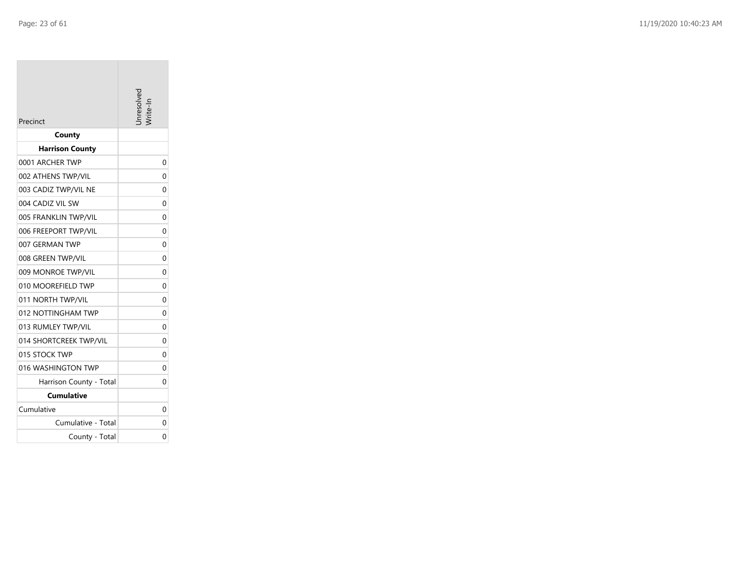| Precinct                | nresolved |
|-------------------------|-----------|
| County                  |           |
| <b>Harrison County</b>  |           |
| 0001 ARCHER TWP         | 0         |
| 002 ATHENS TWP/VIL      | 0         |
| 003 CADIZ TWP/VIL NE    | 0         |
| 004 CADIZ VIL SW        | 0         |
| 005 FRANKLIN TWP/VIL    | $\Omega$  |
| 006 FREEPORT TWP/VIL    | 0         |
| 007 GERMAN TWP          | 0         |
| 008 GREEN TWP/VIL       | 0         |
| 009 MONROE TWP/VIL      | 0         |
| 010 MOOREFIELD TWP      | 0         |
| 011 NORTH TWP/VIL       | 0         |
| 012 NOTTINGHAM TWP      | 0         |
| 013 RUMLEY TWP/VIL      | $\Omega$  |
| 014 SHORTCREEK TWP/VIL  | 0         |
| 015 STOCK TWP           | 0         |
| 016 WASHINGTON TWP      | 0         |
| Harrison County - Total | 0         |
| <b>Cumulative</b>       |           |
| Cumulative              | 0         |
| Cumulative - Total      | 0         |
| County - Total          | 0         |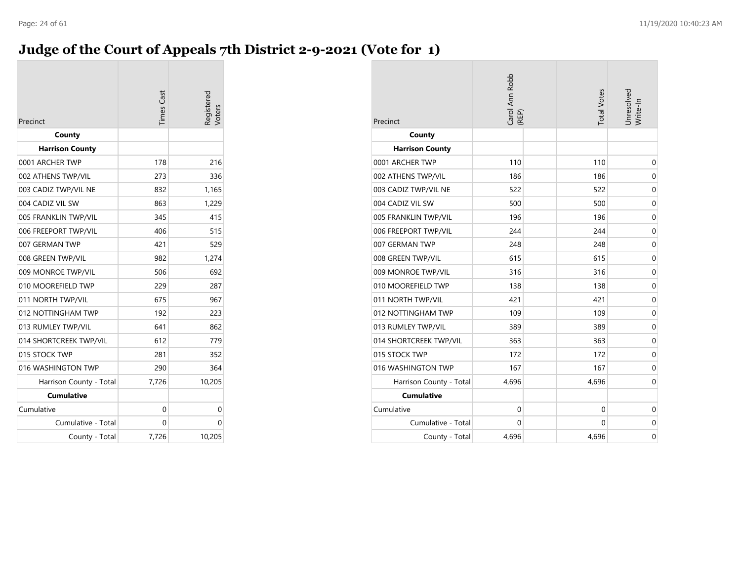### **Judge of the Court of Appeals 7th District 2-9-2021 (Vote for 1)**

| Precinct                | <b>Times</b> Cast | egistered<br>/oters |
|-------------------------|-------------------|---------------------|
| County                  |                   |                     |
| <b>Harrison County</b>  |                   |                     |
| 0001 ARCHER TWP         | 178               | 216                 |
| 002 ATHENS TWP/VIL      | 273               | 336                 |
| 003 CADIZ TWP/VIL NE    | 832               | 1,165               |
| 004 CADIZ VIL SW        | 863               | 1,229               |
| 005 FRANKLIN TWP/VIL    | 345               | 415                 |
| 006 FREEPORT TWP/VIL    | 406               | 515                 |
| 007 GERMAN TWP          | 421               | 529                 |
| 008 GREEN TWP/VIL       | 982               | 1,274               |
| 009 MONROE TWP/VIL      | 506               | 692                 |
| 010 MOOREFIELD TWP      | 229               | 287                 |
| 011 NORTH TWP/VIL       | 675               | 967                 |
| 012 NOTTINGHAM TWP      | 192               | 223                 |
| 013 RUMLEY TWP/VIL      | 641               | 862                 |
| 014 SHORTCREEK TWP/VIL  | 612               | 779                 |
| 015 STOCK TWP           | 281               | 352                 |
| 016 WASHINGTON TWP      | 290               | 364                 |
| Harrison County - Total | 7,726             | 10,205              |
| <b>Cumulative</b>       |                   |                     |
| Cumulative              | 0                 | 0                   |
| Cumulative - Total      | 0                 | 0                   |
| County - Total          | 7,726             | 10,205              |

| Precinct                | Carol Ann Robb<br>(REP) | <b>Total Votes</b> | Jnresolved<br>Write-In |
|-------------------------|-------------------------|--------------------|------------------------|
| County                  |                         |                    |                        |
| <b>Harrison County</b>  |                         |                    |                        |
| 0001 ARCHER TWP         | 110                     | 110                | $\mathbf 0$            |
| 002 ATHENS TWP/VIL      | 186                     | 186                | $\mathbf 0$            |
| 003 CADIZ TWP/VIL NE    | 522                     | 522                | $\mathbf 0$            |
| 004 CADIZ VIL SW        | 500                     | 500                | $\mathbf 0$            |
| 005 FRANKLIN TWP/VIL    | 196                     | 196                | $\mathbf 0$            |
| 006 FREEPORT TWP/VIL    | 244                     | 244                | $\mathbf 0$            |
| 007 GERMAN TWP          | 248                     | 248                | $\mathbf 0$            |
| 008 GREEN TWP/VIL       | 615                     | 615                | $\mathsf{O}\xspace$    |
| 009 MONROE TWP/VIL      | 316                     | 316                | $\mathbf 0$            |
| 010 MOOREFIELD TWP      | 138                     | 138                | $\mathbf 0$            |
| 011 NORTH TWP/VIL       | 421                     | 421                | $\mathbf 0$            |
| 012 NOTTINGHAM TWP      | 109                     | 109                | $\mathbf 0$            |
| 013 RUMLEY TWP/VIL      | 389                     | 389                | $\mathbf 0$            |
| 014 SHORTCREEK TWP/VIL  | 363                     | 363                | $\mathbf 0$            |
| 015 STOCK TWP           | 172                     | 172                | $\mathbf 0$            |
| 016 WASHINGTON TWP      | 167                     | 167                | $\mathbf 0$            |
| Harrison County - Total | 4,696                   | 4,696              | 0                      |
| <b>Cumulative</b>       |                         |                    |                        |
| Cumulative              | $\mathbf 0$             | 0                  | $\mathbf 0$            |
| Cumulative - Total      | 0                       | 0                  | $\mathbf 0$            |
| County - Total          | 4,696                   | 4,696              | $\mathbf 0$            |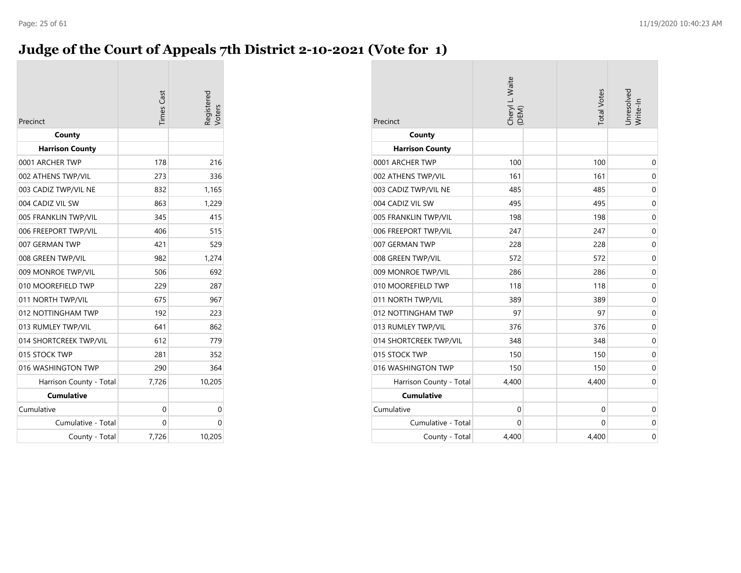### **Judge of the Court of Appeals 7th District 2-10-2021 (Vote for 1)**

| Precinct                | <b>Times</b> Cast | egistered<br>/oters |
|-------------------------|-------------------|---------------------|
| County                  |                   |                     |
| <b>Harrison County</b>  |                   |                     |
| 0001 ARCHER TWP         | 178               | 216                 |
| 002 ATHENS TWP/VIL      | 273               | 336                 |
| 003 CADIZ TWP/VIL NE    | 832               | 1,165               |
| 004 CADIZ VIL SW        | 863               | 1,229               |
| 005 FRANKLIN TWP/VIL    | 345               | 415                 |
| 006 FREEPORT TWP/VIL    | 406               | 515                 |
| 007 GERMAN TWP          | 421               | 529                 |
| 008 GREEN TWP/VIL       | 982               | 1.274               |
| 009 MONROE TWP/VIL      | 506               | 692                 |
| 010 MOOREFIELD TWP      | 229               | 287                 |
| 011 NORTH TWP/VIL       | 675               | 967                 |
| 012 NOTTINGHAM TWP      | 192               | 223                 |
| 013 RUMLEY TWP/VIL      | 641               | 862                 |
| 014 SHORTCREEK TWP/VIL  | 612               | 779                 |
| 015 STOCK TWP           | 281               | 352                 |
| 016 WASHINGTON TWP      | 290               | 364                 |
| Harrison County - Total | 7,726             | 10,205              |
| <b>Cumulative</b>       |                   |                     |
| Cumulative              | 0                 | 0                   |
| Cumulative - Total      | 0                 | 0                   |
| County - Total          | 7,726             | 10,205              |

| Precinct                | Cheryl L. Waite<br>(DEM) | <b>Total Votes</b> | Unresolved<br>Write-In |
|-------------------------|--------------------------|--------------------|------------------------|
| County                  |                          |                    |                        |
| <b>Harrison County</b>  |                          |                    |                        |
| 0001 ARCHER TWP         | 100                      | 100                | 0                      |
| 002 ATHENS TWP/VIL      | 161                      | 161                | 0                      |
| 003 CADIZ TWP/VIL NE    | 485                      | 485                | 0                      |
| 004 CADIZ VIL SW        | 495                      | 495                | $\mathbf 0$            |
| 005 FRANKLIN TWP/VIL    | 198                      | 198                | $\boldsymbol{0}$       |
| 006 FREEPORT TWP/VIL    | 247                      | 247                | $\mathbf 0$            |
| 007 GERMAN TWP          | 228                      | 228                | 0                      |
| 008 GREEN TWP/VIL       | 572                      | 572                | 0                      |
| 009 MONROE TWP/VIL      | 286                      | 286                | $\overline{0}$         |
| 010 MOOREFIELD TWP      | 118                      | 118                | 0                      |
| 011 NORTH TWP/VIL       | 389                      | 389                | 0                      |
| 012 NOTTINGHAM TWP      | 97                       | 97                 | $\boldsymbol{0}$       |
| 013 RUMLEY TWP/VIL      | 376                      | 376                | 0                      |
| 014 SHORTCREEK TWP/VIL  | 348                      | 348                | 0                      |
| 015 STOCK TWP           | 150                      | 150                | 0                      |
| 016 WASHINGTON TWP      | 150                      | 150                | 0                      |
| Harrison County - Total | 4,400                    | 4,400              | $\mathbf 0$            |
| <b>Cumulative</b>       |                          |                    |                        |
| Cumulative              | $\mathbf 0$              | 0                  | 0                      |
| Cumulative - Total      | 0                        | 0                  | 0                      |
| County - Total          | 4,400                    | 4,400              | 0                      |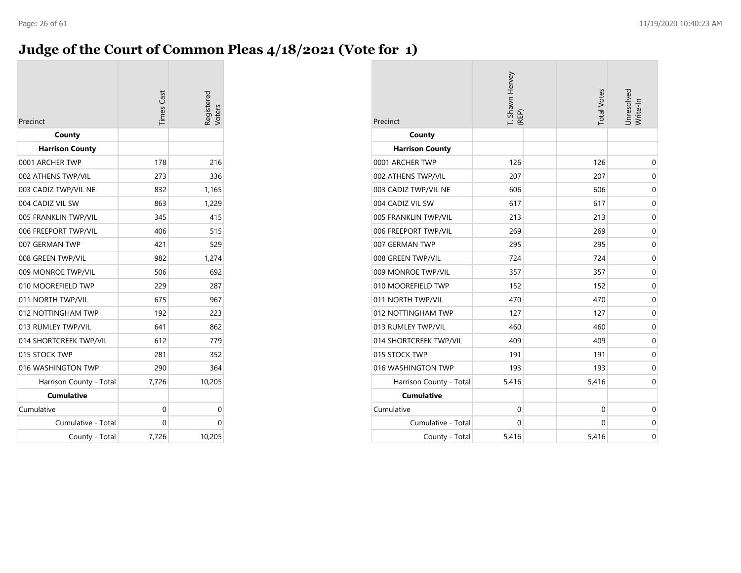## **Judge of the Court of Common Pleas 4/18/2021 (Vote for 1)**

| Precinct                | <b>Times</b> Cast | Registered<br>Voters |
|-------------------------|-------------------|----------------------|
| County                  |                   |                      |
| <b>Harrison County</b>  |                   |                      |
| 0001 ARCHER TWP         | 178               | 216                  |
| 002 ATHENS TWP/VIL      | 273               | 336                  |
| 003 CADIZ TWP/VIL NE    | 832               | 1,165                |
| 004 CADIZ VIL SW        | 863               | 1,229                |
| 005 FRANKLIN TWP/VIL    | 345               | 415                  |
| 006 FREEPORT TWP/VIL    | 406               | 515                  |
| 007 GERMAN TWP          | 421               | 529                  |
| 008 GREEN TWP/VIL       | 982               | 1.274                |
| 009 MONROE TWP/VIL      | 506               | 692                  |
| 010 MOOREFIELD TWP      | 229               | 287                  |
| 011 NORTH TWP/VIL       | 675               | 967                  |
| 012 NOTTINGHAM TWP      | 192               | 223                  |
| 013 RUMLEY TWP/VIL      | 641               | 862                  |
| 014 SHORTCREEK TWP/VIL  | 612               | 779                  |
| 015 STOCK TWP           | 281               | 352                  |
| 016 WASHINGTON TWP      | 290               | 364                  |
| Harrison County - Total | 7,726             | 10,205               |
| <b>Cumulative</b>       |                   |                      |
| Cumulative              | 0                 | 0                    |
| Cumulative - Total      | 0                 | 0                    |
| County - Total          | 7,726             | 10,205               |

| Precinct                | T. Shawn Hervey<br>(REP) | <b>Total Votes</b> | Jnresolved<br>Write-In |
|-------------------------|--------------------------|--------------------|------------------------|
| County                  |                          |                    |                        |
| <b>Harrison County</b>  |                          |                    |                        |
| 0001 ARCHER TWP         | 126                      | 126                | 0                      |
| 002 ATHENS TWP/VIL      | 207                      | 207                | $\mathbf 0$            |
| 003 CADIZ TWP/VIL NE    | 606                      | 606                | $\mathbf 0$            |
| 004 CADIZ VIL SW        | 617                      | 617                | $\mathbf 0$            |
| 005 FRANKLIN TWP/VIL    | 213                      | 213                | $\mathbf 0$            |
| 006 FREEPORT TWP/VIL    | 269                      | 269                | $\mathsf{O}\xspace$    |
| 007 GERMAN TWP          | 295                      | 295                | $\mathbf 0$            |
| 008 GREEN TWP/VIL       | 724                      | 724                | $\mathbf 0$            |
| 009 MONROE TWP/VIL      | 357                      | 357                | $\mathsf{O}\xspace$    |
| 010 MOOREFIELD TWP      | 152                      | 152                | $\mathbf 0$            |
| 011 NORTH TWP/VIL       | 470                      | 470                | $\mathbf 0$            |
| 012 NOTTINGHAM TWP      | 127                      | 127                | $\mathbf 0$            |
| 013 RUMLEY TWP/VIL      | 460                      | 460                | $\mathbf 0$            |
| 014 SHORTCREEK TWP/VIL  | 409                      | 409                | $\mathbf 0$            |
| 015 STOCK TWP           | 191                      | 191                | $\mathsf{O}\xspace$    |
| 016 WASHINGTON TWP      | 193                      | 193                | $\mathbf 0$            |
| Harrison County - Total | 5,416                    | 5,416              | $\mathbf 0$            |
| <b>Cumulative</b>       |                          |                    |                        |
| Cumulative              | 0                        | 0                  | $\mathbf 0$            |
| Cumulative - Total      | 0                        | 0                  | $\mathbf 0$            |
| County - Total          | 5,416                    | 5,416              | 0                      |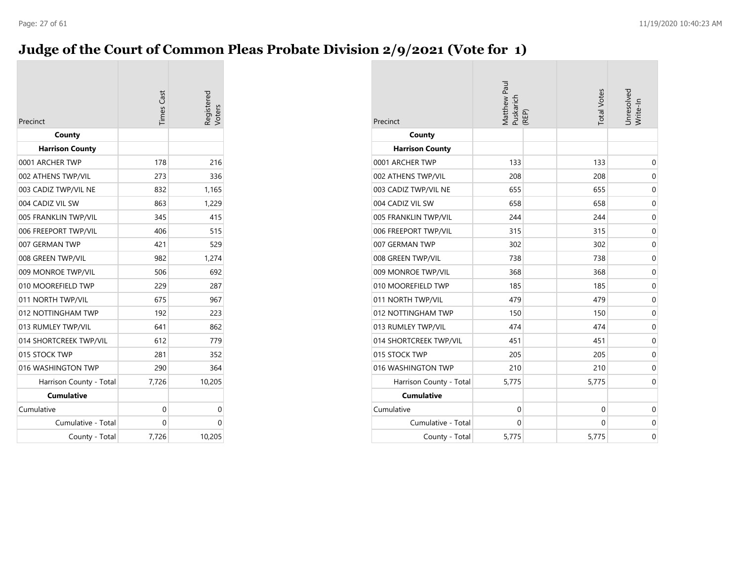## **Judge of the Court of Common Pleas Probate Division 2/9/2021 (Vote for 1)**

| Precinct                         | <b>Times</b> Cast | Registered |
|----------------------------------|-------------------|------------|
| County<br><b>Harrison County</b> |                   |            |
| 0001 ARCHER TWP                  | 178               | 216        |
| 002 ATHENS TWP/VIL               | 273               | 336        |
| 003 CADIZ TWP/VIL NE             | 832               | 1,165      |
| 004 CADIZ VIL SW                 | 863               | 1,229      |
| 005 FRANKLIN TWP/VIL             | 345               | 415        |
| 006 FREEPORT TWP/VIL             | 406               | 515        |
| 007 GERMAN TWP                   | 421               | 529        |
| 008 GREEN TWP/VIL                | 982               | 1,274      |
| 009 MONROE TWP/VIL               | 506               | 692        |
| 010 MOOREFIELD TWP               | 229               | 287        |
| 011 NORTH TWP/VIL                | 675               | 967        |
| 012 NOTTINGHAM TWP               | 192               | 223        |
| 013 RUMLEY TWP/VIL               | 641               | 862        |
| 014 SHORTCREEK TWP/VIL           | 612               | 779        |
| 015 STOCK TWP                    | 281               | 352        |
| 016 WASHINGTON TWP               | 290               | 364        |
| Harrison County - Total          | 7,726             | 10,205     |
| <b>Cumulative</b>                |                   |            |
| Cumulative                       | 0                 | 0          |
| Cumulative - Total               | 0                 | 0          |
| County - Total                   | 7,726             | 10,205     |

| Precinct                | Matthew Paul<br>Puskarich<br>(REP) | <b>Total Votes</b> | Unresolved<br>Write-In |
|-------------------------|------------------------------------|--------------------|------------------------|
| County                  |                                    |                    |                        |
| <b>Harrison County</b>  |                                    |                    |                        |
| 0001 ARCHER TWP         | 133                                | 133                | 0                      |
| 002 ATHENS TWP/VIL      | 208                                | 208                | $\mathbf 0$            |
| 003 CADIZ TWP/VIL NE    | 655                                | 655                | $\mathbf 0$            |
| 004 CADIZ VIL SW        | 658                                | 658                | $\mathbf 0$            |
| 005 FRANKLIN TWP/VIL    | 244                                | 244                | $\mathbf 0$            |
| 006 FREEPORT TWP/VIL    | 315                                | 315                | $\mathbf 0$            |
| 007 GERMAN TWP          | 302                                | 302                | $\mathbf 0$            |
| 008 GREEN TWP/VIL       | 738                                | 738                | $\mathbf 0$            |
| 009 MONROE TWP/VIL      | 368                                | 368                | $\mathbf 0$            |
| 010 MOOREFIELD TWP      | 185                                | 185                | $\mathbf 0$            |
| 011 NORTH TWP/VIL       | 479                                | 479                | $\mathbf 0$            |
| 012 NOTTINGHAM TWP      | 150                                | 150                | $\mathbf 0$            |
| 013 RUMLEY TWP/VIL      | 474                                | 474                | $\mathbf 0$            |
| 014 SHORTCREEK TWP/VIL  | 451                                | 451                | $\mathbf 0$            |
| 015 STOCK TWP           | 205                                | 205                | $\mathsf{O}\xspace$    |
| 016 WASHINGTON TWP      | 210                                | 210                | $\mathbf 0$            |
| Harrison County - Total | 5,775                              | 5,775              | $\mathbf 0$            |
| <b>Cumulative</b>       |                                    |                    |                        |
| Cumulative              | $\mathbf 0$                        | 0                  | $\mathbf 0$            |
| Cumulative - Total      | $\mathbf{0}$                       | 0                  | $\boldsymbol{0}$       |
| County - Total          | 5,775                              | 5,775              | $\mathbf 0$            |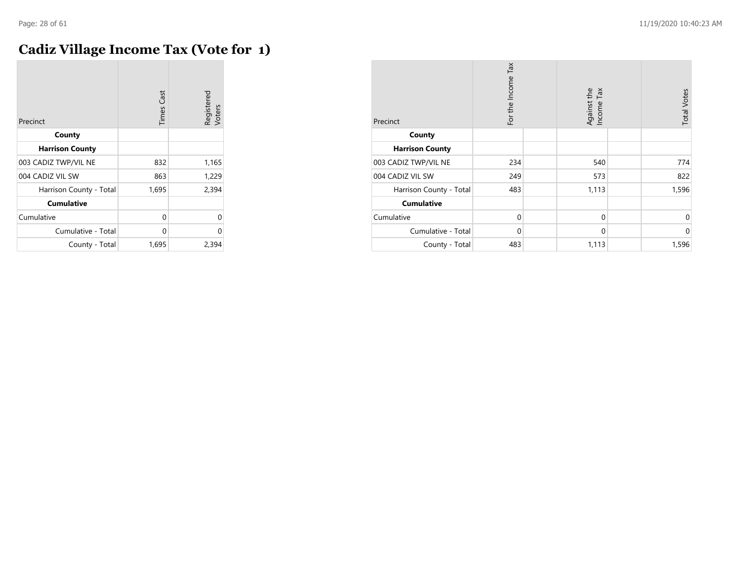### **Cadiz Village Income Tax (Vote for 1)**

| Precinct                | <b>Times Cast</b> | Registered<br>Voters |
|-------------------------|-------------------|----------------------|
| County                  |                   |                      |
| <b>Harrison County</b>  |                   |                      |
| 003 CADIZ TWP/VIL NE    | 832               | 1,165                |
| 004 CADIZ VIL SW        | 863               | 1,229                |
| Harrison County - Total | 1,695             | 2,394                |
| <b>Cumulative</b>       |                   |                      |
| Cumulative              | 0                 | 0                    |
| Cumulative - Total      | 0                 | 0                    |
| County - Total          | 1,695             | 2,394                |

| Precinct                | For the Income Tax | Against the<br>Income Tax | <b>Total Votes</b> |
|-------------------------|--------------------|---------------------------|--------------------|
| County                  |                    |                           |                    |
| <b>Harrison County</b>  |                    |                           |                    |
| 003 CADIZ TWP/VIL NE    | 234                | 540                       | 774                |
| 004 CADIZ VIL SW        | 249                | 573                       | 822                |
| Harrison County - Total | 483                | 1,113                     | 1,596              |
| <b>Cumulative</b>       |                    |                           |                    |
| Cumulative              | $\mathbf 0$        | 0                         | 0                  |
| Cumulative - Total      | $\mathbf 0$        | $\mathbf 0$               | $\mathbf 0$        |
| County - Total          | 483                | 1,113                     | 1,596              |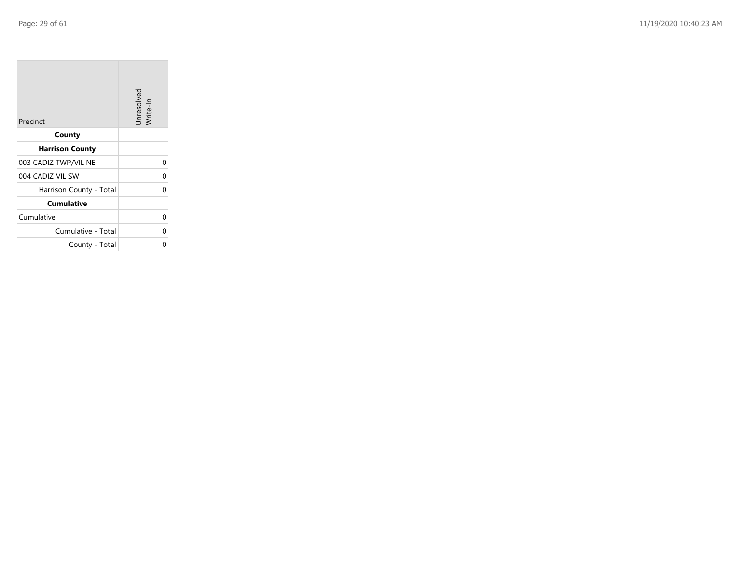**College** 

| Precinct                | Unresolved<br>Write-In |
|-------------------------|------------------------|
| County                  |                        |
| <b>Harrison County</b>  |                        |
| 003 CADIZ TWP/VIL NE    | 0                      |
| 004 CADIZ VIL SW        | 0                      |
| Harrison County - Total |                        |
| <b>Cumulative</b>       |                        |
| Cumulative              |                        |
| Cumulative - Total      | U                      |
| County - Total          |                        |

the control of the control of the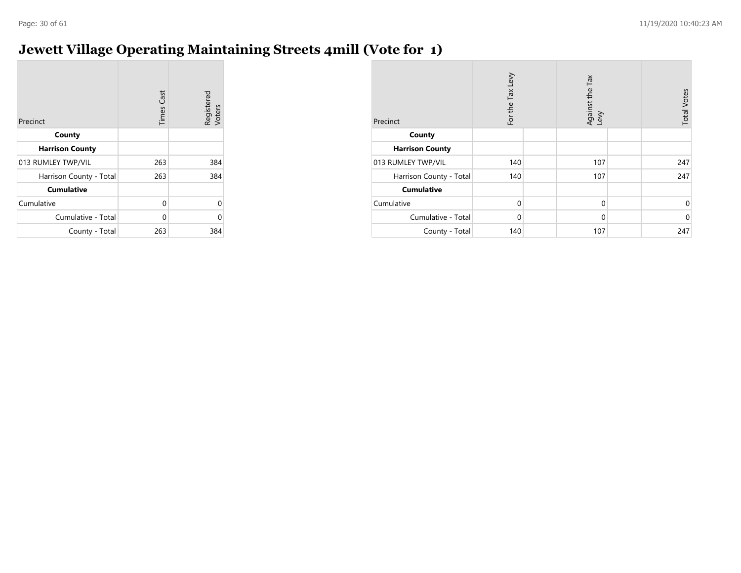### **Jewett Village Operating Maintaining Streets 4mill (Vote for 1)**

| Precinct                | <b>Times Cast</b> | Registered<br>Voters |
|-------------------------|-------------------|----------------------|
| County                  |                   |                      |
| <b>Harrison County</b>  |                   |                      |
| 013 RUMLEY TWP/VIL      | 263               | 384                  |
| Harrison County - Total | 263               | 384                  |
| <b>Cumulative</b>       |                   |                      |
| Cumulative              | 0                 | U                    |
| Cumulative - Total      | 0                 |                      |
| County - Total          | 263               | 384                  |

| Precinct                | For the Tax Levy | Against the Tax<br>Levy | <b>Total Votes</b> |
|-------------------------|------------------|-------------------------|--------------------|
| County                  |                  |                         |                    |
| <b>Harrison County</b>  |                  |                         |                    |
| 013 RUMLEY TWP/VIL      | 140              | 107                     | 247                |
| Harrison County - Total | 140              | 107                     | 247                |
| <b>Cumulative</b>       |                  |                         |                    |
| Cumulative              | $\Omega$         | $\mathbf 0$             | 0                  |
| Cumulative - Total      | $\Omega$         | $\mathbf 0$             | $\mathbf 0$        |
| County - Total          | 140              | 107                     | 247                |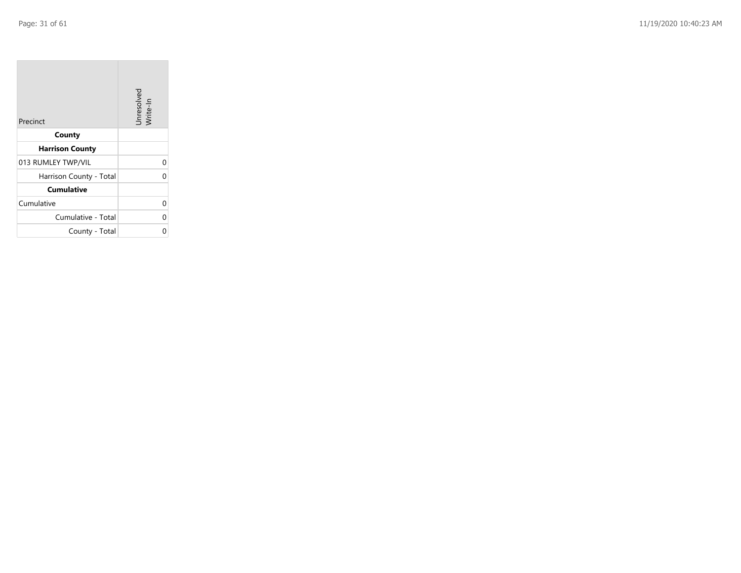| Precinct                | Unresolved<br>Write-In |
|-------------------------|------------------------|
| County                  |                        |
| <b>Harrison County</b>  |                        |
| 013 RUMLEY TWP/VIL      | 0                      |
| Harrison County - Total | O                      |
| <b>Cumulative</b>       |                        |
| Cumulative              | 0                      |
| Cumulative - Total      | 0                      |
| County - Total          | 0                      |

the company of the company

 $\mathcal{L}_{\mathcal{A}}$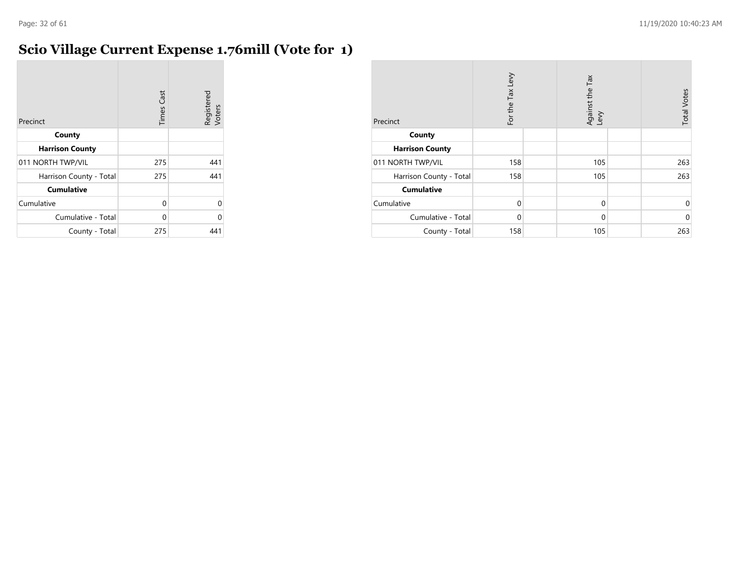m.

## **Scio Village Current Expense 1.76mill (Vote for 1)**

| Precinct                | <b>Times Cast</b> | Registered<br>Voters |
|-------------------------|-------------------|----------------------|
| County                  |                   |                      |
| <b>Harrison County</b>  |                   |                      |
| 011 NORTH TWP/VIL       | 275               | 441                  |
| Harrison County - Total | 275               | 441                  |
| <b>Cumulative</b>       |                   |                      |
| Cumulative              | 0                 | 0                    |
| Cumulative - Total      | $\Omega$          | U                    |
| County - Total          | 275               | 441                  |

| Precinct                | For the Tax Levy | Against the Tax<br>Levy | <b>Total Votes</b> |
|-------------------------|------------------|-------------------------|--------------------|
| County                  |                  |                         |                    |
| <b>Harrison County</b>  |                  |                         |                    |
| 011 NORTH TWP/VIL       | 158              | 105                     | 263                |
| Harrison County - Total | 158              | 105                     | 263                |
| <b>Cumulative</b>       |                  |                         |                    |
| Cumulative              | $\Omega$         | $\mathbf 0$             | 0                  |
| Cumulative - Total      | $\Omega$         | $\mathbf 0$             | $\mathbf 0$        |
| County - Total          | 158              | 105                     | 263                |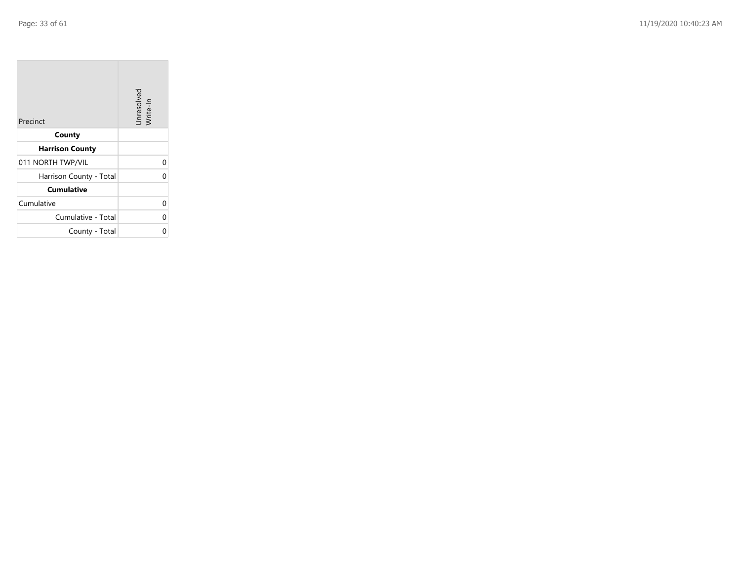| Precinct                | Unresolved<br>Write-In |
|-------------------------|------------------------|
| County                  |                        |
| <b>Harrison County</b>  |                        |
| 011 NORTH TWP/VIL       | 0                      |
| Harrison County - Total | O                      |
| <b>Cumulative</b>       |                        |
| Cumulative              | 0                      |
| Cumulative - Total      | 0                      |
| County - Total          |                        |

the company of the company

 $\mathcal{L}_{\mathcal{A}}$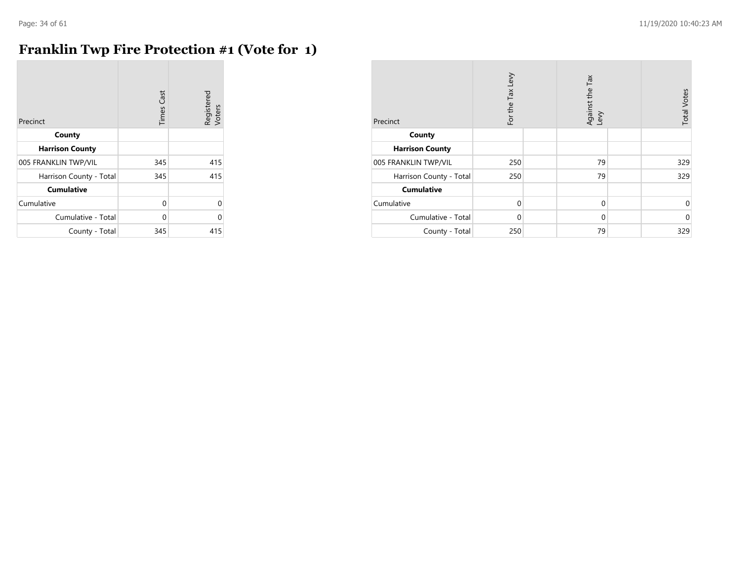$\sim$ 

### **Franklin Twp Fire Protection #1 (Vote for 1)**

| Precinct                | <b>Times Cast</b> | Registered<br>Voters |
|-------------------------|-------------------|----------------------|
| County                  |                   |                      |
| <b>Harrison County</b>  |                   |                      |
| 005 FRANKLIN TWP/VIL    | 345               | 415                  |
| Harrison County - Total | 345               | 415                  |
| <b>Cumulative</b>       |                   |                      |
| Cumulative              | 0                 | $\Omega$             |
| Cumulative - Total      | $\Omega$          | 0                    |
| County - Total          | 345               | 415                  |

| Precinct                | For the Tax Levy | Against the Tax<br>Levy | <b>Total Votes</b> |
|-------------------------|------------------|-------------------------|--------------------|
| County                  |                  |                         |                    |
| <b>Harrison County</b>  |                  |                         |                    |
| 005 FRANKLIN TWP/VIL    | 250              | 79                      | 329                |
| Harrison County - Total | 250              | 79                      | 329                |
| <b>Cumulative</b>       |                  |                         |                    |
| Cumulative              | $\mathbf 0$      | $\mathbf 0$             | 0                  |
| Cumulative - Total      | $\Omega$         | 0                       | $\Omega$           |
| County - Total          | 250              | 79                      | 329                |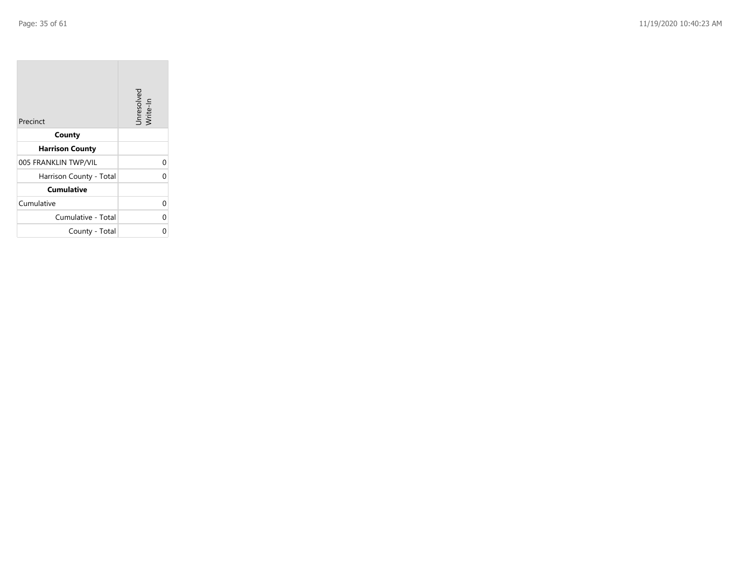| Precinct                | Unresolved<br>Write-In |
|-------------------------|------------------------|
| County                  |                        |
| <b>Harrison County</b>  |                        |
| 005 FRANKLIN TWP/VIL    | 0                      |
| Harrison County - Total | O                      |
| <b>Cumulative</b>       |                        |
| Cumulative              | 0                      |
| Cumulative - Total      | 0                      |
| County - Total          |                        |

the company's company's

 $\mathcal{L}_{\mathcal{A}}$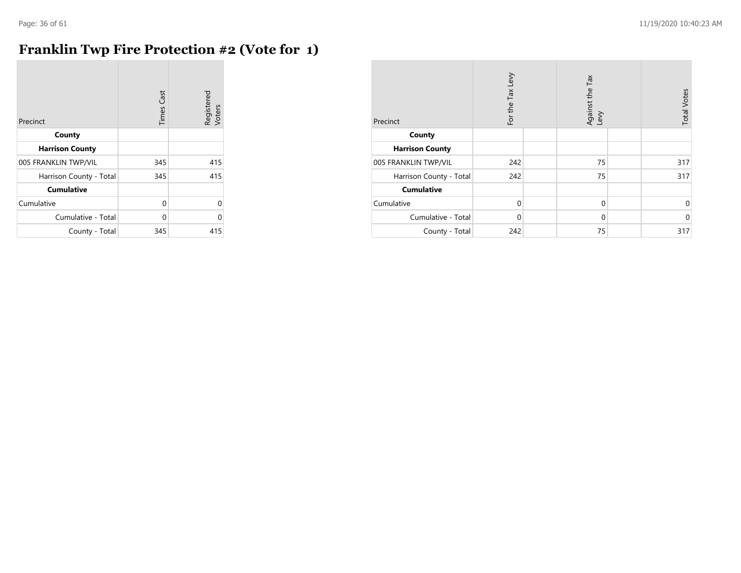$\sim$ 

### **Franklin Twp Fire Protection #2 (Vote for 1)**

| Precinct                | <b>Times Cast</b> | Registered<br>Voters |
|-------------------------|-------------------|----------------------|
| County                  |                   |                      |
| <b>Harrison County</b>  |                   |                      |
| 005 FRANKLIN TWP/VIL    | 345               | 415                  |
| Harrison County - Total | 345               | 415                  |
| <b>Cumulative</b>       |                   |                      |
| Cumulative              | 0                 | 0                    |
| Cumulative - Total      | U                 | C                    |
| County - Total          | 345               | 415                  |

| Precinct                | For the Tax Levy | Against the Tax<br>Levy | <b>Total Votes</b> |
|-------------------------|------------------|-------------------------|--------------------|
| County                  |                  |                         |                    |
| <b>Harrison County</b>  |                  |                         |                    |
| 005 FRANKLIN TWP/VIL    | 242              | 75                      | 317                |
| Harrison County - Total | 242              | 75                      | 317                |
| <b>Cumulative</b>       |                  |                         |                    |
| Cumulative              | $\mathbf 0$      | $\mathbf 0$             | 0                  |
| Cumulative - Total      | $\Omega$         | 0                       | $\mathbf 0$        |
| County - Total          | 242              | 75                      | 317                |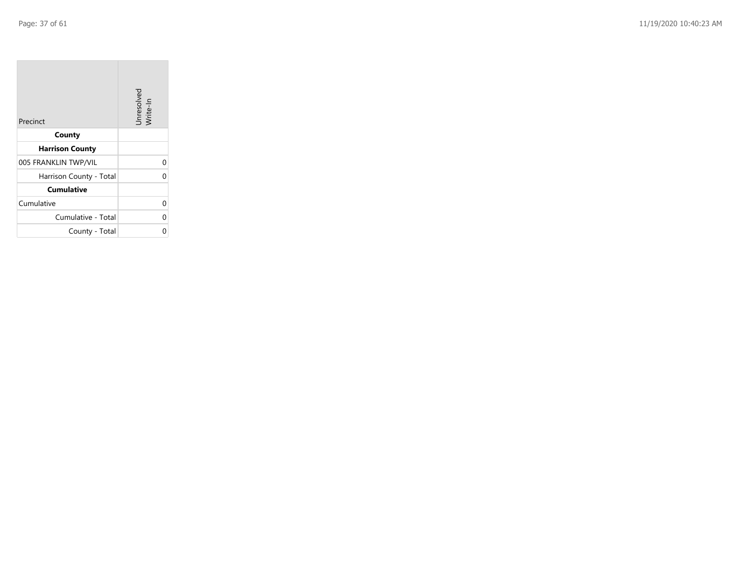**COL** 

| Precinct                | Unresolved<br>Write-In |
|-------------------------|------------------------|
| County                  |                        |
| <b>Harrison County</b>  |                        |
| 005 FRANKLIN TWP/VIL    | 0                      |
| Harrison County - Total | U                      |
| <b>Cumulative</b>       |                        |
| Cumulative              | 0                      |
| Cumulative - Total      | U                      |
| County - Total          |                        |

the company of the company

man.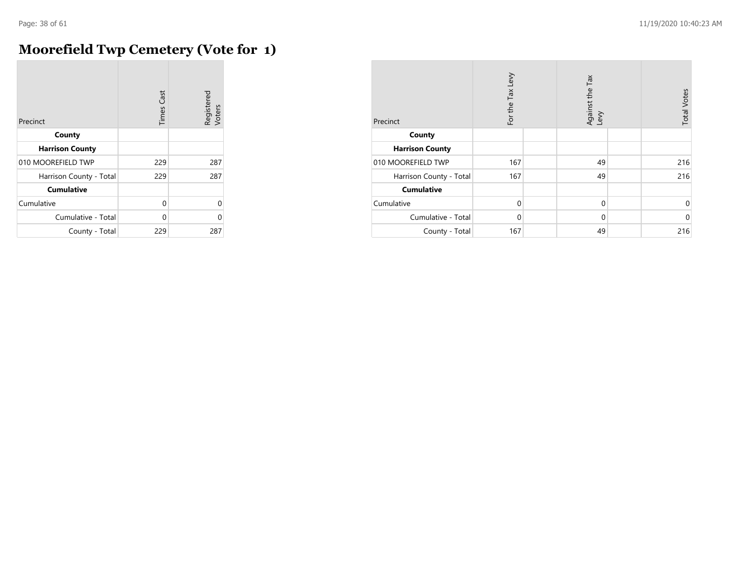## **Moorefield Twp Cemetery (Vote for 1)**

| Precinct                | <b>Times Cast</b> | Registered<br>Voters |
|-------------------------|-------------------|----------------------|
| County                  |                   |                      |
| <b>Harrison County</b>  |                   |                      |
| 010 MOOREFIELD TWP      | 229               | 287                  |
| Harrison County - Total | 229               | 287                  |
| <b>Cumulative</b>       |                   |                      |
| Cumulative              | $\Omega$          | U                    |
| Cumulative - Total      | U                 | በ                    |
| County - Total          | 229               | 287                  |

| Precinct                | For the Tax Levy | Against the Tax<br>Levy | <b>Total Votes</b> |
|-------------------------|------------------|-------------------------|--------------------|
| County                  |                  |                         |                    |
| <b>Harrison County</b>  |                  |                         |                    |
| 010 MOOREFIELD TWP      | 167              | 49                      | 216                |
| Harrison County - Total | 167              | 49                      | 216                |
| <b>Cumulative</b>       |                  |                         |                    |
| Cumulative              | $\mathbf 0$      | $\mathbf 0$             | 0                  |
| Cumulative - Total      | $\Omega$         | $\mathbf 0$             | $\mathbf 0$        |
| County - Total          | 167              | 49                      | 216                |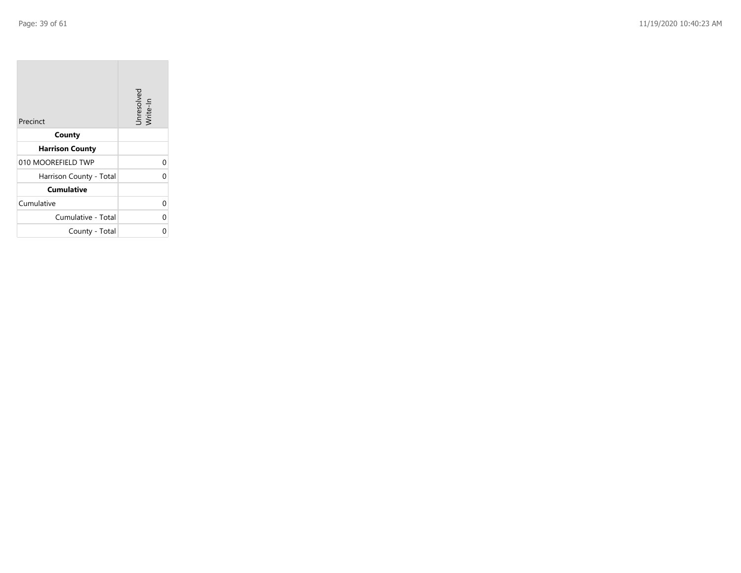| Precinct                | Unresolved<br>Write-In |
|-------------------------|------------------------|
| County                  |                        |
| <b>Harrison County</b>  |                        |
| 010 MOOREFIELD TWP      | 0                      |
| Harrison County - Total | O                      |
| <b>Cumulative</b>       |                        |
| Cumulative              | 0                      |
| Cumulative - Total      | 0                      |
| County - Total          |                        |

the company of the company

man.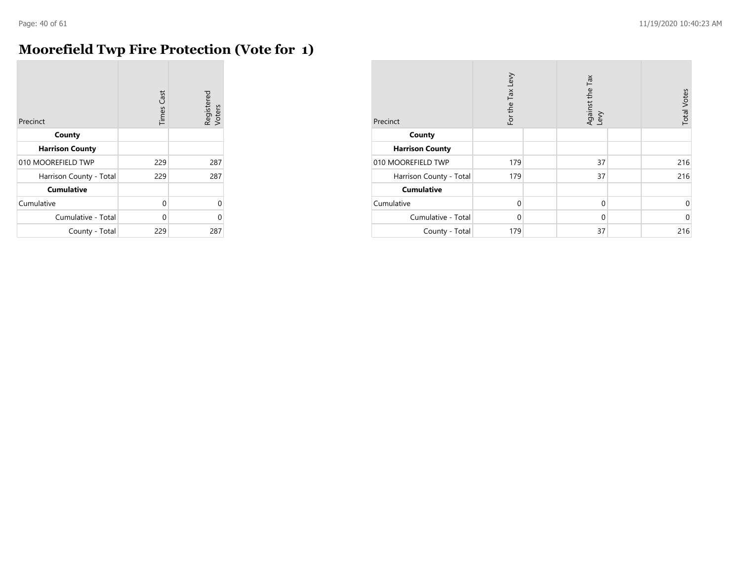$\sim$ 

### **Moorefield Twp Fire Protection (Vote for 1)**

| Precinct                | <b>Times Cast</b> | Registered<br>Voters |
|-------------------------|-------------------|----------------------|
| County                  |                   |                      |
| <b>Harrison County</b>  |                   |                      |
| 010 MOOREFIELD TWP      | 229               | 287                  |
| Harrison County - Total | 229               | 287                  |
| <b>Cumulative</b>       |                   |                      |
| Cumulative              | 0                 | 0                    |
| Cumulative - Total      | U                 | O                    |
| County - Total          | 229               | 287                  |

| Precinct                | For the Tax Levy | Against the Tax<br>Levy | <b>Total Votes</b> |
|-------------------------|------------------|-------------------------|--------------------|
| County                  |                  |                         |                    |
| <b>Harrison County</b>  |                  |                         |                    |
| 010 MOOREFIELD TWP      | 179              | 37                      | 216                |
| Harrison County - Total | 179              | 37                      | 216                |
| <b>Cumulative</b>       |                  |                         |                    |
| Cumulative              | $\mathbf 0$      | $\mathbf 0$             | 0                  |
| Cumulative - Total      | $\Omega$         | 0                       | $\mathbf 0$        |
| County - Total          | 179              | 37                      | 216                |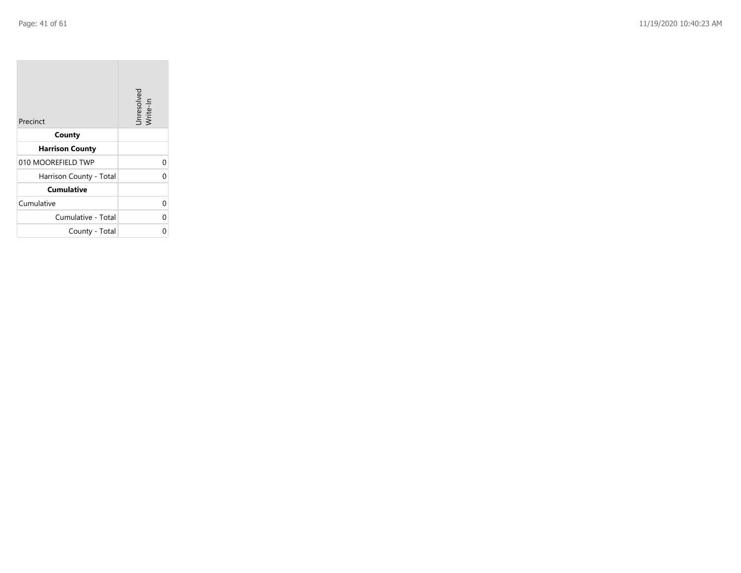| Precinct                | Unresolved<br>Write-In |
|-------------------------|------------------------|
| County                  |                        |
| <b>Harrison County</b>  |                        |
| 010 MOOREFIELD TWP      | 0                      |
| Harrison County - Total | O                      |
| <b>Cumulative</b>       |                        |
| Cumulative              | 0                      |
| Cumulative - Total      | 0                      |
| County - Total          |                        |

the company of the company

man.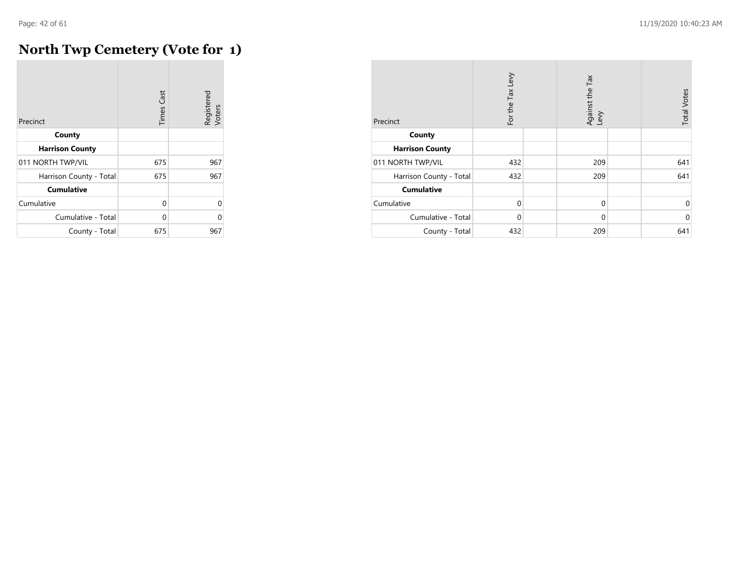## **North Twp Cemetery (Vote for 1)**

| Precinct                | <b>Times Cast</b> | Registered<br>Voters |
|-------------------------|-------------------|----------------------|
| County                  |                   |                      |
| <b>Harrison County</b>  |                   |                      |
| 011 NORTH TWP/VIL       | 675               | 967                  |
| Harrison County - Total | 675               | 967                  |
| <b>Cumulative</b>       |                   |                      |
| Cumulative              | 0                 | U                    |
| Cumulative - Total      | 0                 | በ                    |
| County - Total          | 675               | 967                  |

| Precinct                | For the Tax Levy | Against the Tax<br>Levy | <b>Total Votes</b> |
|-------------------------|------------------|-------------------------|--------------------|
| County                  |                  |                         |                    |
| <b>Harrison County</b>  |                  |                         |                    |
| 011 NORTH TWP/VIL       | 432              | 209                     | 641                |
| Harrison County - Total | 432              | 209                     | 641                |
| <b>Cumulative</b>       |                  |                         |                    |
| Cumulative              | $\mathbf 0$      | $\mathbf 0$             | 0                  |
| Cumulative - Total      | $\Omega$         | $\mathbf 0$             | $\mathbf 0$        |
| County - Total          | 432              | 209                     | 641                |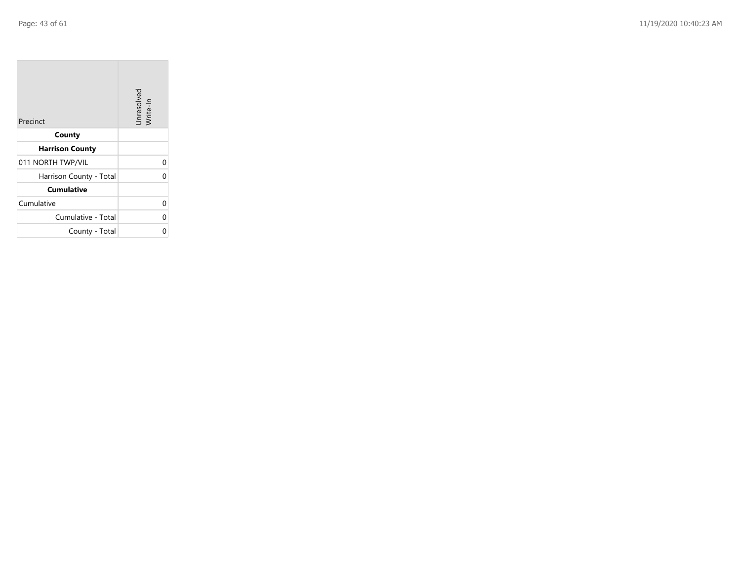| Precinct                | Unresolved<br>Write-In |
|-------------------------|------------------------|
| County                  |                        |
| <b>Harrison County</b>  |                        |
| 011 NORTH TWP/VIL       | 0                      |
| Harrison County - Total | O                      |
| <b>Cumulative</b>       |                        |
| Cumulative              | 0                      |
| Cumulative - Total      | 0                      |
| County - Total          |                        |

the company of the company

man.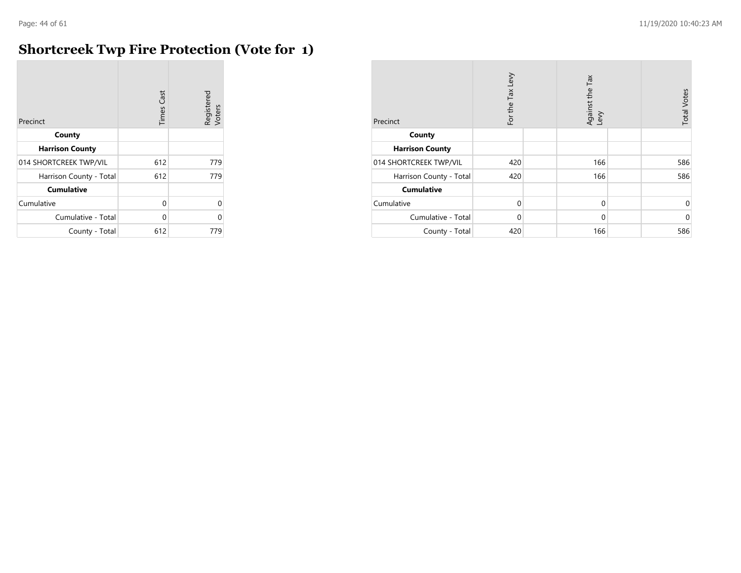**CO** 

### **Shortcreek Twp Fire Protection (Vote for 1)**

| Precinct                | <b>Times Cast</b> | Registered<br>Voters |
|-------------------------|-------------------|----------------------|
| County                  |                   |                      |
| <b>Harrison County</b>  |                   |                      |
| 014 SHORTCREEK TWP/VIL  | 612               | 779                  |
| Harrison County - Total | 612               | 779                  |
| <b>Cumulative</b>       |                   |                      |
| Cumulative              | 0                 | 0                    |
| Cumulative - Total      | 0                 | C                    |
| County - Total          | 612               | 779                  |

| Precinct                | For the Tax Levy | Against the Tax<br>Levy | <b>Total Votes</b> |
|-------------------------|------------------|-------------------------|--------------------|
| County                  |                  |                         |                    |
| <b>Harrison County</b>  |                  |                         |                    |
| 014 SHORTCREEK TWP/VIL  | 420              | 166                     | 586                |
| Harrison County - Total | 420              | 166                     | 586                |
| <b>Cumulative</b>       |                  |                         |                    |
| Cumulative              | $\mathbf 0$      | $\mathbf 0$             | $\mathbf 0$        |
| Cumulative - Total      | $\Omega$         | $\Omega$                | $\mathbf 0$        |
| County - Total          | 420              | 166                     | 586                |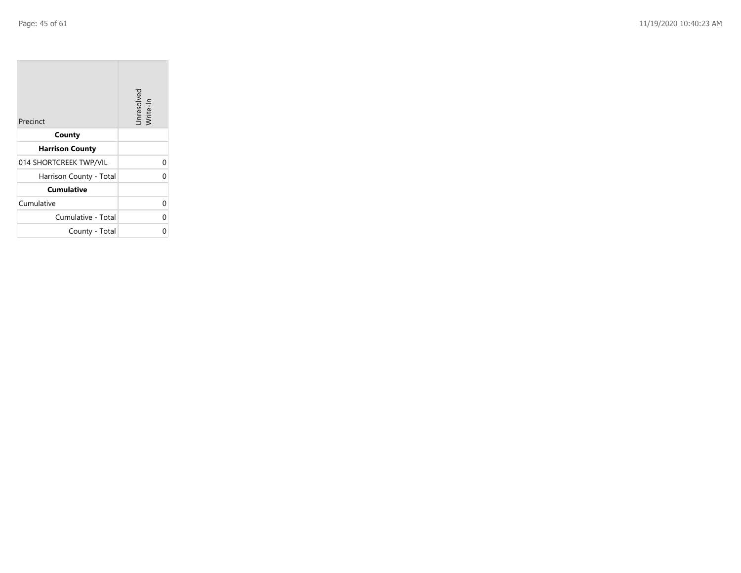| Precinct                | Unresolved<br>Write-In |
|-------------------------|------------------------|
| County                  |                        |
| <b>Harrison County</b>  |                        |
| 014 SHORTCREEK TWP/VIL  | 0                      |
| Harrison County - Total | O                      |
| <b>Cumulative</b>       |                        |
| Cumulative              | 0                      |
| Cumulative - Total      | 0                      |
| County - Total          |                        |

the company of the company

man.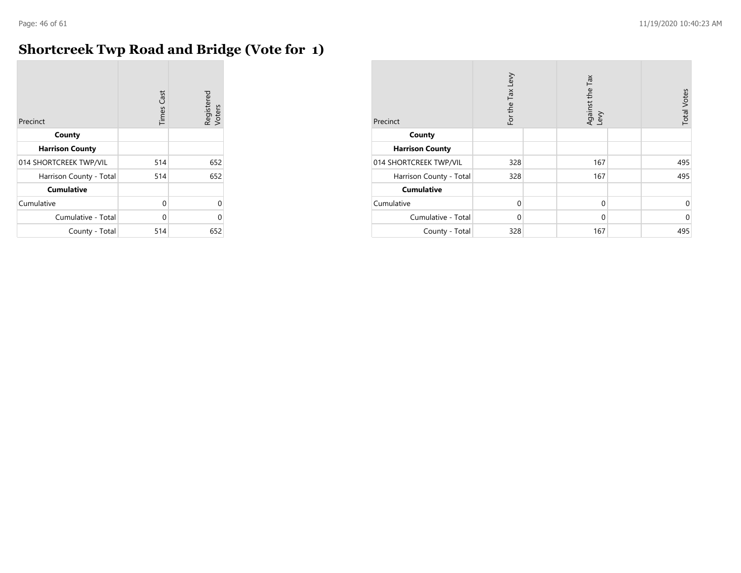### **Shortcreek Twp Road and Bridge (Vote for 1)**

| Precinct                | <b>Times Cast</b> | Registered<br>Voters |
|-------------------------|-------------------|----------------------|
| County                  |                   |                      |
| <b>Harrison County</b>  |                   |                      |
| 014 SHORTCREEK TWP/VIL  | 514               | 652                  |
| Harrison County - Total | 514               | 652                  |
| <b>Cumulative</b>       |                   |                      |
| Cumulative              | 0                 | 0                    |
| Cumulative - Total      | 0                 | U                    |
| County - Total          | 514               | 652                  |

| Precinct                | For the Tax Levy | Tax<br>Against the T<br>Levy | <b>Total Votes</b> |
|-------------------------|------------------|------------------------------|--------------------|
| County                  |                  |                              |                    |
| <b>Harrison County</b>  |                  |                              |                    |
| 014 SHORTCREEK TWP/VIL  | 328              | 167                          | 495                |
| Harrison County - Total | 328              | 167                          | 495                |
| <b>Cumulative</b>       |                  |                              |                    |
| Cumulative              | $\Omega$         | $\mathbf 0$                  | 0                  |
| Cumulative - Total      | $\Omega$         | 0                            | $\Omega$           |
| County - Total          | 328              | 167                          | 495                |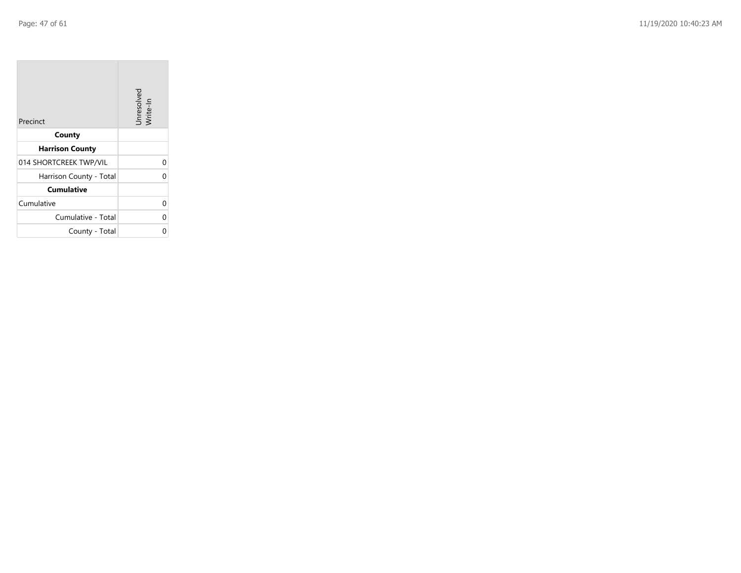**COL** 

| Precinct                | Unresolved<br>Write-In |
|-------------------------|------------------------|
| County                  |                        |
| <b>Harrison County</b>  |                        |
| 014 SHORTCREEK TWP/VIL  | 0                      |
| Harrison County - Total | U                      |
| <b>Cumulative</b>       |                        |
| Cumulative              |                        |
| Cumulative - Total      | 0                      |
| County - Total          |                        |

the property of the con-

man.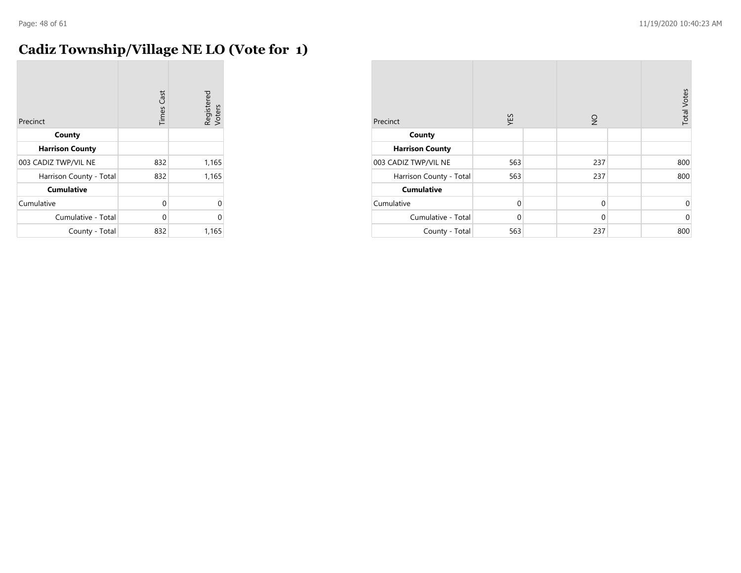**COL** 

### **Cadiz Township/Village NE LO (Vote for 1)**

| Precinct                | <b>Times Cast</b> | Registered<br>Voters |
|-------------------------|-------------------|----------------------|
| County                  |                   |                      |
| <b>Harrison County</b>  |                   |                      |
| 003 CADIZ TWP/VIL NE    | 832               | 1,165                |
| Harrison County - Total | 832               | 1,165                |
| <b>Cumulative</b>       |                   |                      |
| Cumulative              | 0                 | $\Omega$             |
| Cumulative - Total      | 0                 | $\Omega$             |
| County - Total          | 832               | 1,165                |

| Precinct                | YES         | $\frac{1}{2}$ | <b>Total Votes</b> |
|-------------------------|-------------|---------------|--------------------|
| County                  |             |               |                    |
| <b>Harrison County</b>  |             |               |                    |
| 003 CADIZ TWP/VIL NE    | 563         | 237           | 800                |
| Harrison County - Total | 563         | 237           | 800                |
| <b>Cumulative</b>       |             |               |                    |
| Cumulative              | $\mathbf 0$ | $\mathbf 0$   | 0                  |
| Cumulative - Total      | $\mathbf 0$ | $\mathbf 0$   | $\mathbf 0$        |
| County - Total          | 563         | 237           | 800                |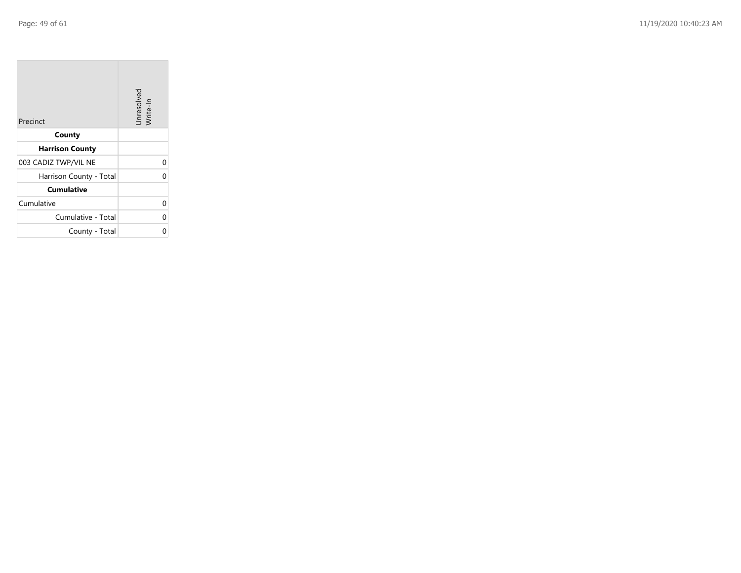| Precinct                | Unresolved<br>Write-In |
|-------------------------|------------------------|
| County                  |                        |
| <b>Harrison County</b>  |                        |
| 003 CADIZ TWP/VIL NE    | 0                      |
| Harrison County - Total | O                      |
| <b>Cumulative</b>       |                        |
| Cumulative              | 0                      |
| Cumulative - Total      | 0                      |
| County - Total          |                        |

the property of the con-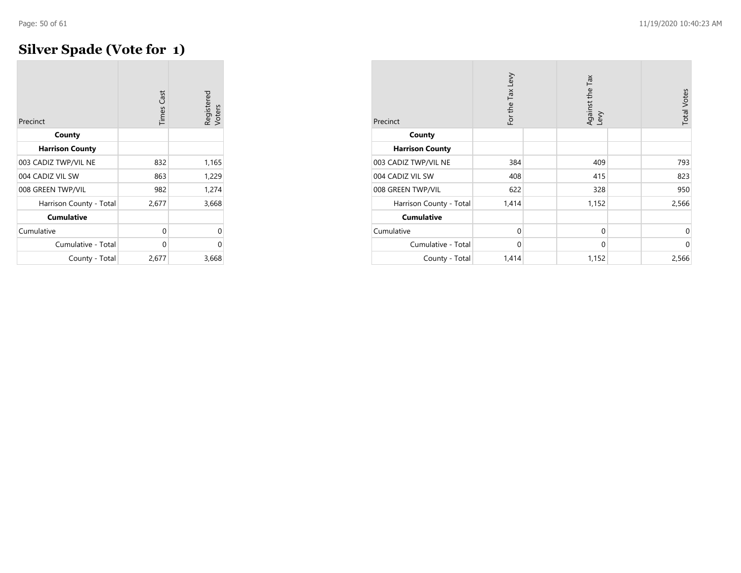### **Silver Spade (Vote for 1)**

| Precinct                | <b>Times Cast</b> | Registered<br>Voters |
|-------------------------|-------------------|----------------------|
| County                  |                   |                      |
| <b>Harrison County</b>  |                   |                      |
| 003 CADIZ TWP/VIL NE    | 832               | 1,165                |
| 004 CADIZ VIL SW        | 863               | 1,229                |
| 008 GREEN TWP/VIL       | 982               | 1,274                |
| Harrison County - Total | 2,677             | 3,668                |
| <b>Cumulative</b>       |                   |                      |
| Cumulative              | 0                 | 0                    |
| Cumulative - Total      | 0                 | U                    |
| County - Total          | 2,677             | 3,668                |

| Precinct                | For the Tax Levy | Against the Tax<br>Levy | <b>Total Votes</b> |
|-------------------------|------------------|-------------------------|--------------------|
| County                  |                  |                         |                    |
| <b>Harrison County</b>  |                  |                         |                    |
| 003 CADIZ TWP/VIL NE    | 384              | 409                     | 793                |
| 004 CADIZ VIL SW        | 408              | 415                     | 823                |
| 008 GREEN TWP/VIL       | 622              | 328                     | 950                |
| Harrison County - Total | 1,414            | 1,152                   | 2,566              |
| <b>Cumulative</b>       |                  |                         |                    |
| Cumulative              | $\Omega$         | $\mathbf 0$             | $\mathbf 0$        |
| Cumulative - Total      | $\Omega$         | $\mathbf 0$             | $\mathbf 0$        |
| County - Total          | 1,414            | 1,152                   | 2,566              |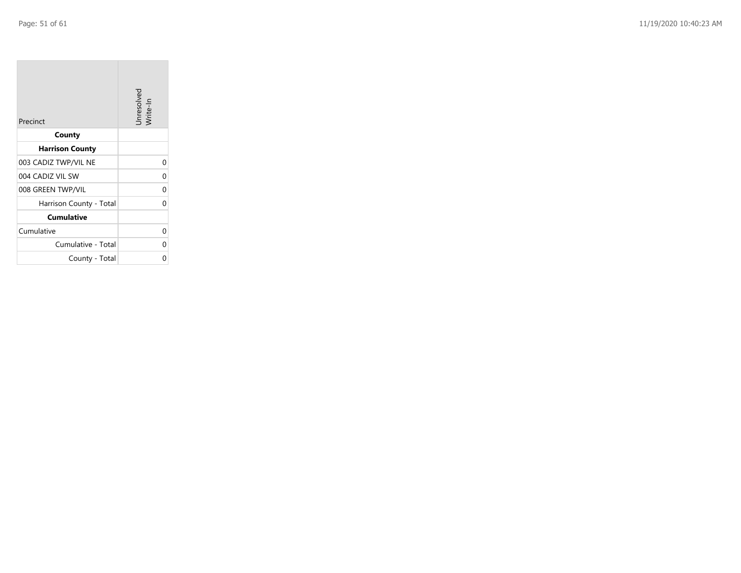**College** 

| Precinct                | Unresolved<br>Write-In |
|-------------------------|------------------------|
| County                  |                        |
| <b>Harrison County</b>  |                        |
| 003 CADIZ TWP/VIL NE    | 0                      |
| 004 CADIZ VIL SW        | 0                      |
| 008 GREEN TWP/VIL       | 0                      |
| Harrison County - Total | 0                      |
| <b>Cumulative</b>       |                        |
| Cumulative              | 0                      |
| Cumulative - Total      | ი                      |
| County - Total          | ი                      |

the control of the control of the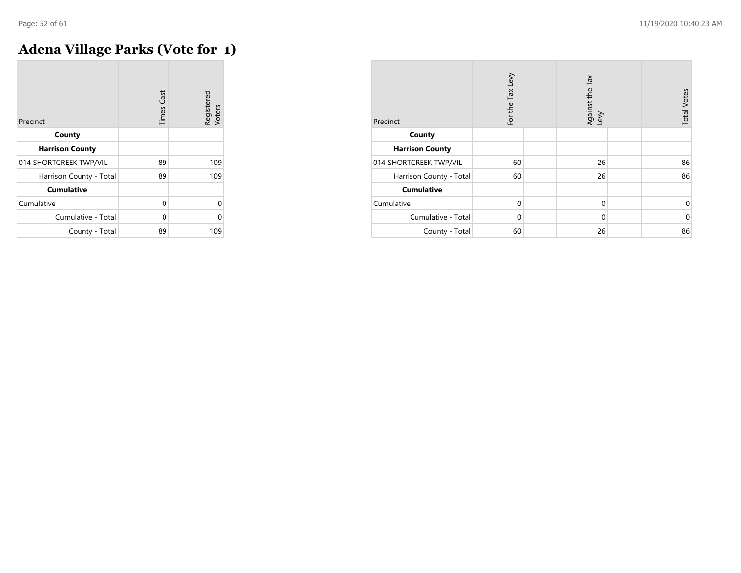### **Adena Village Parks (Vote for 1)**

| Precinct                | <b>Times Cast</b> | Registered<br>Voters |
|-------------------------|-------------------|----------------------|
| County                  |                   |                      |
| <b>Harrison County</b>  |                   |                      |
| 014 SHORTCREEK TWP/VIL  | 89                | 109                  |
| Harrison County - Total | 89                | 109                  |
| <b>Cumulative</b>       |                   |                      |
| Cumulative              | 0                 | n                    |
| Cumulative - Total      | 0                 | n                    |
| County - Total          | 89                | 109                  |

| Precinct                | For the Tax Levy | Against the Tax<br>Levy | <b>Total Votes</b> |
|-------------------------|------------------|-------------------------|--------------------|
| County                  |                  |                         |                    |
| <b>Harrison County</b>  |                  |                         |                    |
| 014 SHORTCREEK TWP/VIL  | 60               | 26                      | 86                 |
| Harrison County - Total | 60               | 26                      | 86                 |
| <b>Cumulative</b>       |                  |                         |                    |
| Cumulative              | $\Omega$         | $\Omega$                | 0                  |
| Cumulative - Total      | $\Omega$         | $\Omega$                | $\mathbf 0$        |
| County - Total          | 60               | 26                      | 86                 |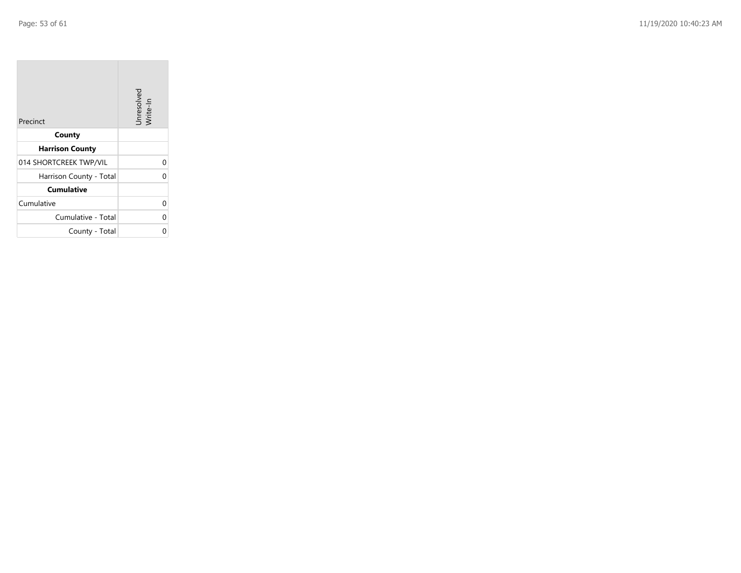**College** 

| Precinct                | Unresolved<br>Write-In |
|-------------------------|------------------------|
| County                  |                        |
| <b>Harrison County</b>  |                        |
| 014 SHORTCREEK TWP/VIL  | 0                      |
| Harrison County - Total | 0                      |
| <b>Cumulative</b>       |                        |
| Cumulative              | 0                      |
| Cumulative - Total      | 0                      |
| County - Total          |                        |

the control of the control of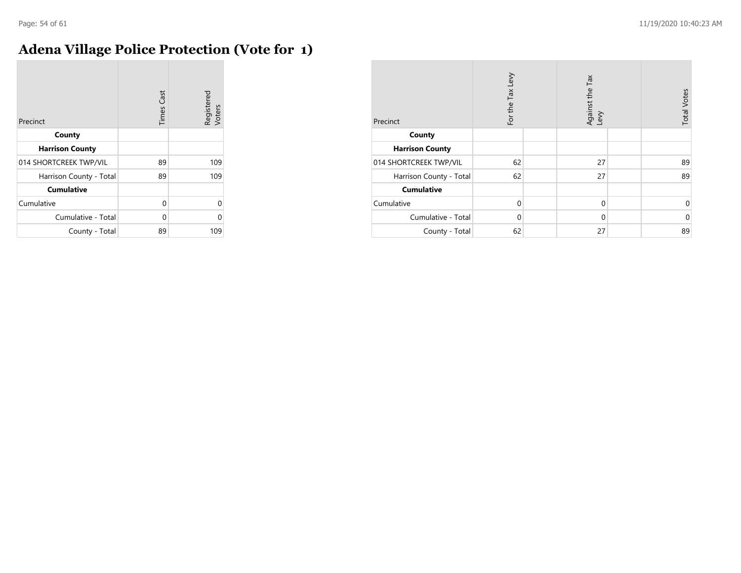### **Adena Village Police Protection (Vote for 1)**

| Precinct                | <b>Times Cast</b> | Registered<br>Voters |
|-------------------------|-------------------|----------------------|
| County                  |                   |                      |
| <b>Harrison County</b>  |                   |                      |
| 014 SHORTCREEK TWP/VIL  | 89                | 109                  |
| Harrison County - Total | 89                | 109                  |
| <b>Cumulative</b>       |                   |                      |
| Cumulative              | 0                 | $\Omega$             |
| Cumulative - Total      | 0                 | U                    |
| County - Total          | 89                | 109                  |

| Precinct                | For the Tax Levy | Against the Tax<br>Levy | <b>Total Votes</b> |
|-------------------------|------------------|-------------------------|--------------------|
| County                  |                  |                         |                    |
| <b>Harrison County</b>  |                  |                         |                    |
| 014 SHORTCREEK TWP/VIL  | 62               | 27                      | 89                 |
| Harrison County - Total | 62               | 27                      | 89                 |
| <b>Cumulative</b>       |                  |                         |                    |
| Cumulative              | $\Omega$         | $\mathbf 0$             | 0                  |
| Cumulative - Total      | $\Omega$         | $\mathbf 0$             | $\mathbf 0$        |
| County - Total          | 62               | 27                      | 89                 |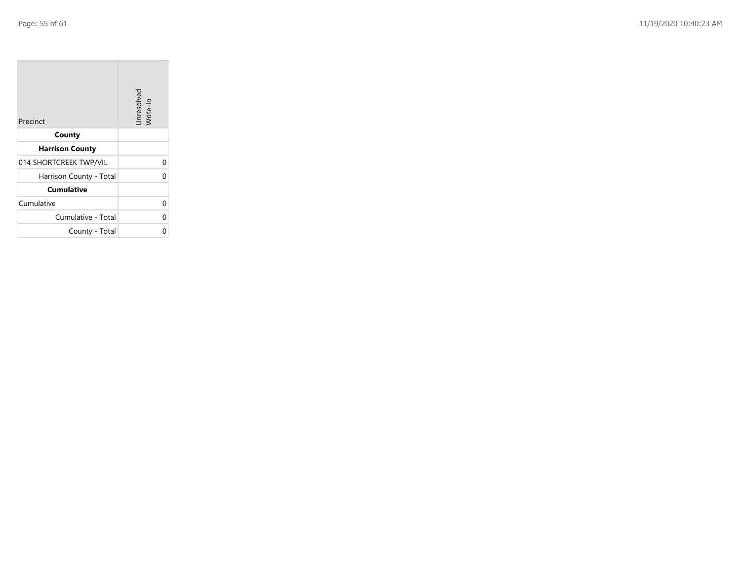**College** 

| Precinct                | Unresolved<br>Write-In |
|-------------------------|------------------------|
| County                  |                        |
| <b>Harrison County</b>  |                        |
| 014 SHORTCREEK TWP/VIL  | 0                      |
| Harrison County - Total | 0                      |
| <b>Cumulative</b>       |                        |
| Cumulative              | 0                      |
| Cumulative - Total      | 0                      |
| County - Total          |                        |

the control of the control of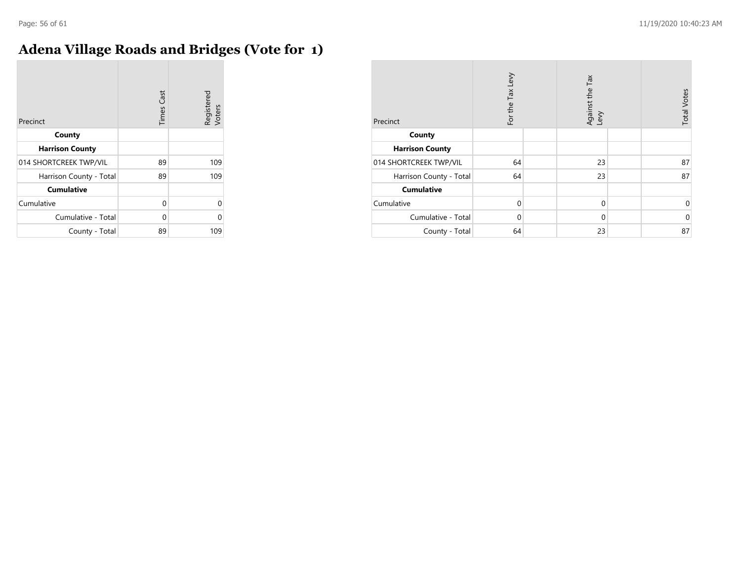## **Adena Village Roads and Bridges (Vote for 1)**

| Precinct                | <b>Times Cast</b> | Registered<br>Voters |
|-------------------------|-------------------|----------------------|
| County                  |                   |                      |
| <b>Harrison County</b>  |                   |                      |
| 014 SHORTCREEK TWP/VIL  | 89                | 109                  |
| Harrison County - Total | 89                | 109                  |
| <b>Cumulative</b>       |                   |                      |
| Cumulative              | 0                 | U                    |
| Cumulative - Total      | 0                 | U                    |
| County - Total          | 89                | 109                  |

| Precinct                | For the Tax Levy | Tax<br>Against the T<br>Levy | <b>Total Votes</b> |
|-------------------------|------------------|------------------------------|--------------------|
| County                  |                  |                              |                    |
| <b>Harrison County</b>  |                  |                              |                    |
| 014 SHORTCREEK TWP/VIL  | 64               | 23                           | 87                 |
| Harrison County - Total | 64               | 23                           | 87                 |
| <b>Cumulative</b>       |                  |                              |                    |
| Cumulative              | $\Omega$         | $\mathbf 0$                  | 0                  |
| Cumulative - Total      | $\Omega$         | $\mathbf 0$                  | $\mathbf 0$        |
| County - Total          | 64               | 23                           | 87                 |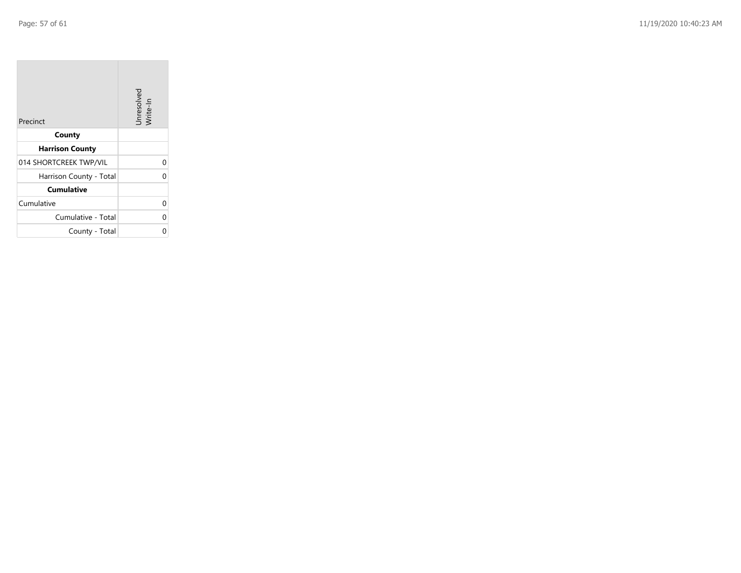**College** 

| Precinct                | Unresolved<br>Write-In |
|-------------------------|------------------------|
| County                  |                        |
| <b>Harrison County</b>  |                        |
| 014 SHORTCREEK TWP/VIL  | 0                      |
| Harrison County - Total | 0                      |
| <b>Cumulative</b>       |                        |
| Cumulative              | 0                      |
| Cumulative - Total      | 0                      |
| County - Total          |                        |

the control of the control of the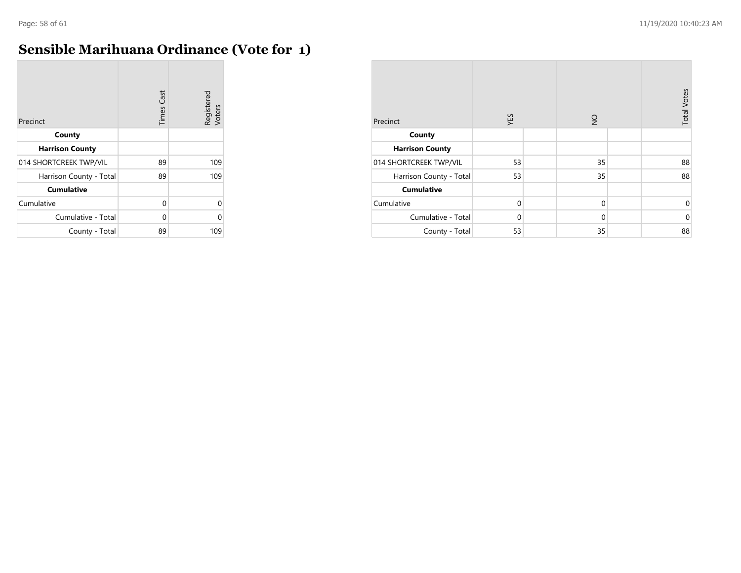$\overline{\phantom{a}}$ 

### **Sensible Marihuana Ordinance (Vote for 1)**

| Precinct                | <b>Times Cast</b> | Registered<br>Voters |
|-------------------------|-------------------|----------------------|
| County                  |                   |                      |
| <b>Harrison County</b>  |                   |                      |
| 014 SHORTCREEK TWP/VIL  | 89                | 109                  |
| Harrison County - Total | 89                | 109                  |
| <b>Cumulative</b>       |                   |                      |
| Cumulative              | 0                 | $\Omega$             |
| Cumulative - Total      | $\Omega$          | $\Omega$             |
| County - Total          | 89                | 109                  |

| Precinct                | YES         | $\frac{1}{2}$ | <b>Total Votes</b> |
|-------------------------|-------------|---------------|--------------------|
| County                  |             |               |                    |
| <b>Harrison County</b>  |             |               |                    |
| 014 SHORTCREEK TWP/VIL  | 53          | 35            | 88                 |
| Harrison County - Total | 53          | 35            | 88                 |
| <b>Cumulative</b>       |             |               |                    |
| Cumulative              | $\mathbf 0$ | $\mathbf 0$   | 0                  |
| Cumulative - Total      | $\Omega$    | $\mathbf 0$   | $\mathbf 0$        |
| County - Total          | 53          | 35            | 88                 |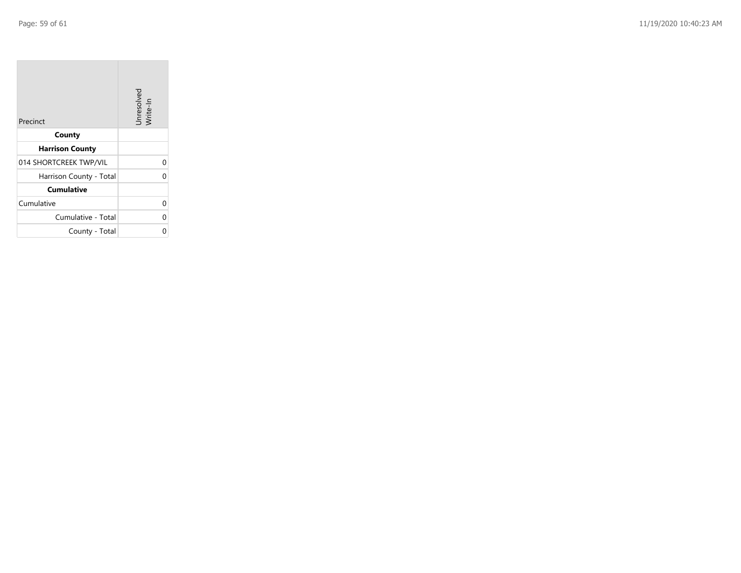**College** 

| Precinct                | Unresolved<br>Write-In |
|-------------------------|------------------------|
| County                  |                        |
| <b>Harrison County</b>  |                        |
| 014 SHORTCREEK TWP/VIL  | 0                      |
| Harrison County - Total | 0                      |
| <b>Cumulative</b>       |                        |
| Cumulative              | 0                      |
| Cumulative - Total      | 0                      |
| County - Total          |                        |

the control of the control of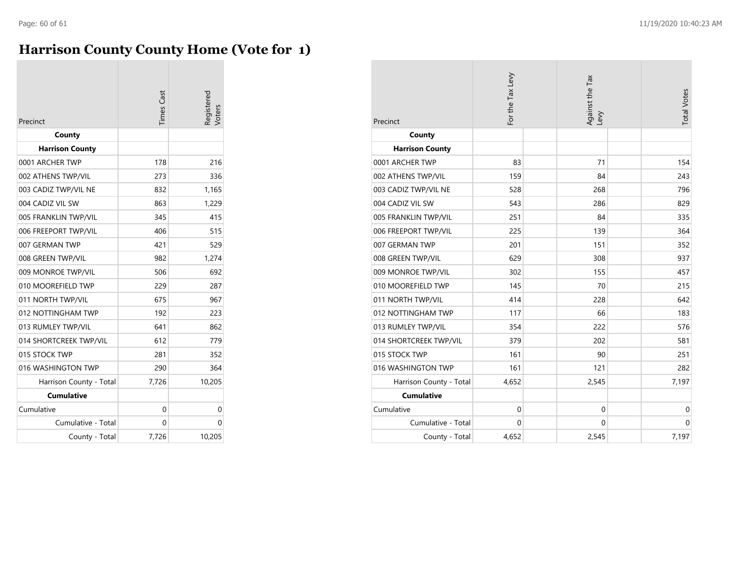### **Harrison County County Home (Vote for 1)**

| Precinct                | <b>Times</b> Cast | egistered<br>/oters |
|-------------------------|-------------------|---------------------|
| County                  |                   |                     |
| <b>Harrison County</b>  |                   |                     |
| 0001 ARCHER TWP         | 178               | 216                 |
| 002 ATHENS TWP/VIL      | 273               | 336                 |
| 003 CADIZ TWP/VIL NE    | 832               | 1,165               |
| 004 CADIZ VIL SW        | 863               | 1,229               |
| 005 FRANKLIN TWP/VIL    | 345               | 415                 |
| 006 FREEPORT TWP/VIL    | 406               | 515                 |
| 007 GERMAN TWP          | 421               | 529                 |
| 008 GREEN TWP/VIL       | 982               | 1,274               |
| 009 MONROE TWP/VIL      | 506               | 692                 |
| 010 MOOREFIELD TWP      | 229               | 287                 |
| 011 NORTH TWP/VIL       | 675               | 967                 |
| 012 NOTTINGHAM TWP      | 192               | 223                 |
| 013 RUMLEY TWP/VIL      | 641               | 862                 |
| 014 SHORTCREEK TWP/VIL  | 612               | 779                 |
| 015 STOCK TWP           | 281               | 352                 |
| 016 WASHINGTON TWP      | 290               | 364                 |
| Harrison County - Total | 7,726             | 10,205              |
| <b>Cumulative</b>       |                   |                     |
| Cumulative              | 0                 | 0                   |
| Cumulative - Total      | 0                 | 0                   |
| County - Total          | 7,726             | 10,205              |

| Precinct                | For the Tax Levy | Against the Tax<br>Levy | <b>Total Votes</b> |
|-------------------------|------------------|-------------------------|--------------------|
| County                  |                  |                         |                    |
| <b>Harrison County</b>  |                  |                         |                    |
| 0001 ARCHER TWP         | 83               | 71                      | 154                |
| 002 ATHENS TWP/VIL      | 159              | 84                      | 243                |
| 003 CADIZ TWP/VIL NE    | 528              | 268                     | 796                |
| 004 CADIZ VIL SW        | 543              | 286                     | 829                |
| 005 FRANKLIN TWP/VIL    | 251              | 84                      | 335                |
| 006 FREEPORT TWP/VIL    | 225              | 139                     | 364                |
| 007 GERMAN TWP          | 201              | 151                     | 352                |
| 008 GREEN TWP/VIL       | 629              | 308                     | 937                |
| 009 MONROE TWP/VIL      | 302              | 155                     | 457                |
| 010 MOOREFIELD TWP      | 145              | 70                      | 215                |
| 011 NORTH TWP/VIL       | 414              | 228                     | 642                |
| 012 NOTTINGHAM TWP      | 117              | 66                      | 183                |
| 013 RUMLEY TWP/VIL      | 354              | 222                     | 576                |
| 014 SHORTCREEK TWP/VIL  | 379              | 202                     | 581                |
| 015 STOCK TWP           | 161              | 90                      | 251                |
| 016 WASHINGTON TWP      | 161              | 121                     | 282                |
| Harrison County - Total | 4,652            | 2,545                   | 7,197              |
| <b>Cumulative</b>       |                  |                         |                    |
| Cumulative              | $\mathbf 0$      | $\mathbf 0$             | $\mathbf 0$        |
| Cumulative - Total      | 0                | 0                       | $\mathbf 0$        |
| County - Total          | 4,652            | 2,545                   | 7,197              |